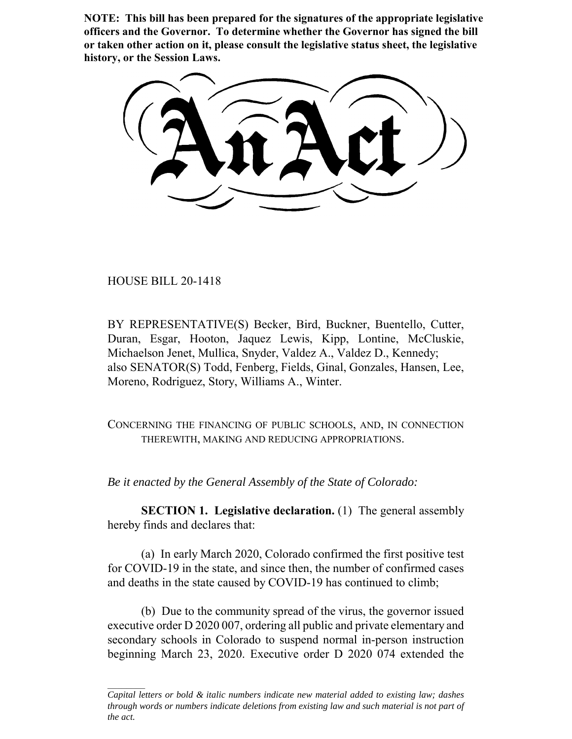**NOTE: This bill has been prepared for the signatures of the appropriate legislative officers and the Governor. To determine whether the Governor has signed the bill or taken other action on it, please consult the legislative status sheet, the legislative history, or the Session Laws.**

HOUSE BILL 20-1418

BY REPRESENTATIVE(S) Becker, Bird, Buckner, Buentello, Cutter, Duran, Esgar, Hooton, Jaquez Lewis, Kipp, Lontine, McCluskie, Michaelson Jenet, Mullica, Snyder, Valdez A., Valdez D., Kennedy; also SENATOR(S) Todd, Fenberg, Fields, Ginal, Gonzales, Hansen, Lee, Moreno, Rodriguez, Story, Williams A., Winter.

CONCERNING THE FINANCING OF PUBLIC SCHOOLS, AND, IN CONNECTION THEREWITH, MAKING AND REDUCING APPROPRIATIONS.

*Be it enacted by the General Assembly of the State of Colorado:*

**SECTION 1. Legislative declaration.** (1) The general assembly hereby finds and declares that:

(a) In early March 2020, Colorado confirmed the first positive test for COVID-19 in the state, and since then, the number of confirmed cases and deaths in the state caused by COVID-19 has continued to climb;

(b) Due to the community spread of the virus, the governor issued executive order D 2020 007, ordering all public and private elementary and secondary schools in Colorado to suspend normal in-person instruction beginning March 23, 2020. Executive order D 2020 074 extended the

*Capital letters or bold & italic numbers indicate new material added to existing law; dashes through words or numbers indicate deletions from existing law and such material is not part of the act.*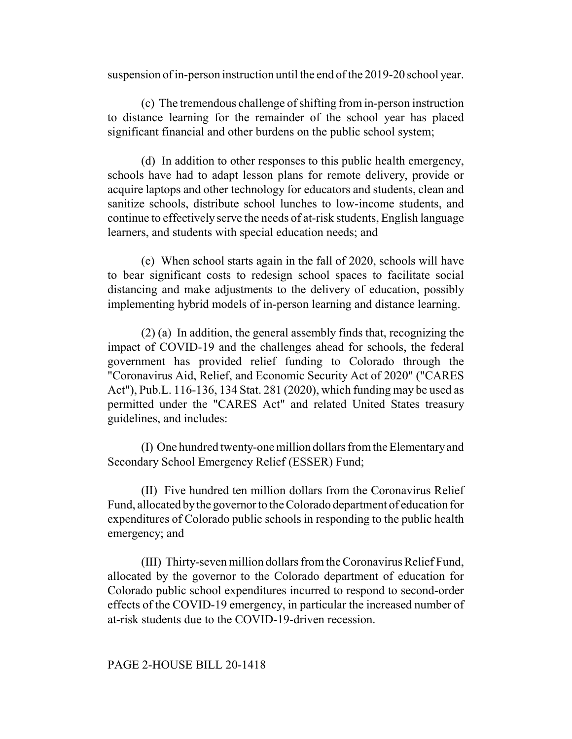suspension of in-person instruction until the end of the 2019-20 school year.

(c) The tremendous challenge of shifting from in-person instruction to distance learning for the remainder of the school year has placed significant financial and other burdens on the public school system;

(d) In addition to other responses to this public health emergency, schools have had to adapt lesson plans for remote delivery, provide or acquire laptops and other technology for educators and students, clean and sanitize schools, distribute school lunches to low-income students, and continue to effectively serve the needs of at-risk students, English language learners, and students with special education needs; and

(e) When school starts again in the fall of 2020, schools will have to bear significant costs to redesign school spaces to facilitate social distancing and make adjustments to the delivery of education, possibly implementing hybrid models of in-person learning and distance learning.

(2) (a) In addition, the general assembly finds that, recognizing the impact of COVID-19 and the challenges ahead for schools, the federal government has provided relief funding to Colorado through the "Coronavirus Aid, Relief, and Economic Security Act of 2020" ("CARES Act"), Pub.L. 116-136, 134 Stat. 281 (2020), which funding may be used as permitted under the "CARES Act" and related United States treasury guidelines, and includes:

(I) One hundred twenty-one million dollars from the Elementary and Secondary School Emergency Relief (ESSER) Fund;

(II) Five hundred ten million dollars from the Coronavirus Relief Fund, allocated by the governor to the Colorado department of education for expenditures of Colorado public schools in responding to the public health emergency; and

(III) Thirty-seven million dollars from the Coronavirus Relief Fund, allocated by the governor to the Colorado department of education for Colorado public school expenditures incurred to respond to second-order effects of the COVID-19 emergency, in particular the increased number of at-risk students due to the COVID-19-driven recession.

## PAGE 2-HOUSE BILL 20-1418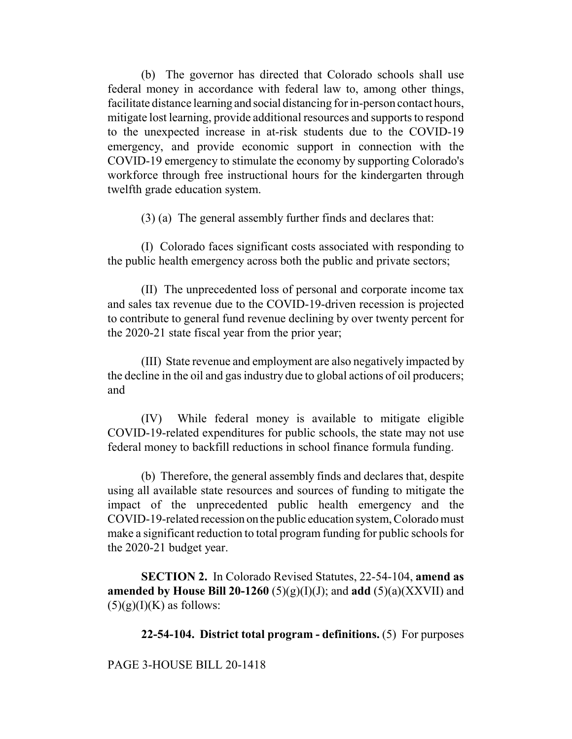(b) The governor has directed that Colorado schools shall use federal money in accordance with federal law to, among other things, facilitate distance learning and social distancing for in-person contact hours, mitigate lost learning, provide additional resources and supports to respond to the unexpected increase in at-risk students due to the COVID-19 emergency, and provide economic support in connection with the COVID-19 emergency to stimulate the economy by supporting Colorado's workforce through free instructional hours for the kindergarten through twelfth grade education system.

(3) (a) The general assembly further finds and declares that:

(I) Colorado faces significant costs associated with responding to the public health emergency across both the public and private sectors;

(II) The unprecedented loss of personal and corporate income tax and sales tax revenue due to the COVID-19-driven recession is projected to contribute to general fund revenue declining by over twenty percent for the 2020-21 state fiscal year from the prior year;

(III) State revenue and employment are also negatively impacted by the decline in the oil and gas industry due to global actions of oil producers; and

(IV) While federal money is available to mitigate eligible COVID-19-related expenditures for public schools, the state may not use federal money to backfill reductions in school finance formula funding.

(b) Therefore, the general assembly finds and declares that, despite using all available state resources and sources of funding to mitigate the impact of the unprecedented public health emergency and the COVID-19-related recession on the public education system, Colorado must make a significant reduction to total program funding for public schools for the 2020-21 budget year.

**SECTION 2.** In Colorado Revised Statutes, 22-54-104, **amend as amended by House Bill 20-1260** (5)(g)(I)(J); and **add** (5)(a)(XXVII) and  $(5)(g)(I)(K)$  as follows:

**22-54-104. District total program - definitions.** (5) For purposes

# PAGE 3-HOUSE BILL 20-1418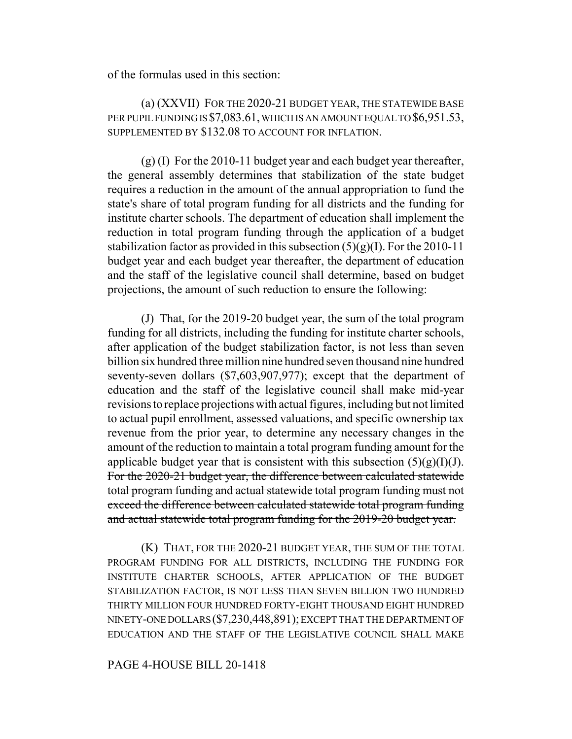of the formulas used in this section:

(a) (XXVII) FOR THE 2020-21 BUDGET YEAR, THE STATEWIDE BASE PER PUPIL FUNDING IS \$7,083.61, WHICH IS AN AMOUNT EQUAL TO \$6,951.53, SUPPLEMENTED BY \$132.08 TO ACCOUNT FOR INFLATION.

(g) (I) For the 2010-11 budget year and each budget year thereafter, the general assembly determines that stabilization of the state budget requires a reduction in the amount of the annual appropriation to fund the state's share of total program funding for all districts and the funding for institute charter schools. The department of education shall implement the reduction in total program funding through the application of a budget stabilization factor as provided in this subsection  $(5)(g)(I)$ . For the 2010-11 budget year and each budget year thereafter, the department of education and the staff of the legislative council shall determine, based on budget projections, the amount of such reduction to ensure the following:

(J) That, for the 2019-20 budget year, the sum of the total program funding for all districts, including the funding for institute charter schools, after application of the budget stabilization factor, is not less than seven billion six hundred three million nine hundred seven thousand nine hundred seventy-seven dollars (\$7,603,907,977); except that the department of education and the staff of the legislative council shall make mid-year revisions to replace projections with actual figures, including but not limited to actual pupil enrollment, assessed valuations, and specific ownership tax revenue from the prior year, to determine any necessary changes in the amount of the reduction to maintain a total program funding amount for the applicable budget year that is consistent with this subsection  $(5)(g)(I)(J)$ . For the 2020-21 budget year, the difference between calculated statewide total program funding and actual statewide total program funding must not exceed the difference between calculated statewide total program funding and actual statewide total program funding for the 2019-20 budget year.

(K) THAT, FOR THE 2020-21 BUDGET YEAR, THE SUM OF THE TOTAL PROGRAM FUNDING FOR ALL DISTRICTS, INCLUDING THE FUNDING FOR INSTITUTE CHARTER SCHOOLS, AFTER APPLICATION OF THE BUDGET STABILIZATION FACTOR, IS NOT LESS THAN SEVEN BILLION TWO HUNDRED THIRTY MILLION FOUR HUNDRED FORTY-EIGHT THOUSAND EIGHT HUNDRED NINETY-ONE DOLLARS (\$7,230,448,891); EXCEPT THAT THE DEPARTMENT OF EDUCATION AND THE STAFF OF THE LEGISLATIVE COUNCIL SHALL MAKE

PAGE 4-HOUSE BILL 20-1418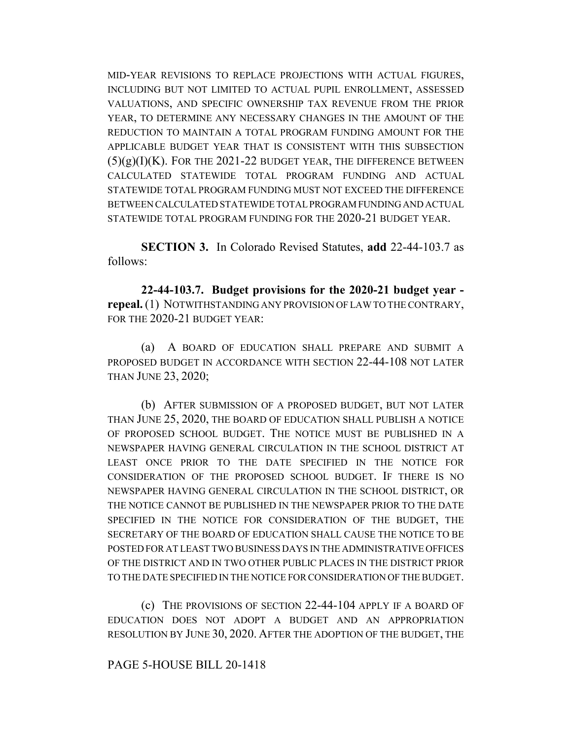MID-YEAR REVISIONS TO REPLACE PROJECTIONS WITH ACTUAL FIGURES, INCLUDING BUT NOT LIMITED TO ACTUAL PUPIL ENROLLMENT, ASSESSED VALUATIONS, AND SPECIFIC OWNERSHIP TAX REVENUE FROM THE PRIOR YEAR, TO DETERMINE ANY NECESSARY CHANGES IN THE AMOUNT OF THE REDUCTION TO MAINTAIN A TOTAL PROGRAM FUNDING AMOUNT FOR THE APPLICABLE BUDGET YEAR THAT IS CONSISTENT WITH THIS SUBSECTION  $(5)(g)(I)(K)$ . FOR THE 2021-22 BUDGET YEAR, THE DIFFERENCE BETWEEN CALCULATED STATEWIDE TOTAL PROGRAM FUNDING AND ACTUAL STATEWIDE TOTAL PROGRAM FUNDING MUST NOT EXCEED THE DIFFERENCE BETWEEN CALCULATED STATEWIDE TOTAL PROGRAM FUNDING AND ACTUAL STATEWIDE TOTAL PROGRAM FUNDING FOR THE 2020-21 BUDGET YEAR.

**SECTION 3.** In Colorado Revised Statutes, **add** 22-44-103.7 as follows:

**22-44-103.7. Budget provisions for the 2020-21 budget year repeal.** (1) NOTWITHSTANDING ANY PROVISION OF LAW TO THE CONTRARY, FOR THE 2020-21 BUDGET YEAR:

(a) A BOARD OF EDUCATION SHALL PREPARE AND SUBMIT A PROPOSED BUDGET IN ACCORDANCE WITH SECTION 22-44-108 NOT LATER THAN JUNE 23, 2020;

(b) AFTER SUBMISSION OF A PROPOSED BUDGET, BUT NOT LATER THAN JUNE 25, 2020, THE BOARD OF EDUCATION SHALL PUBLISH A NOTICE OF PROPOSED SCHOOL BUDGET. THE NOTICE MUST BE PUBLISHED IN A NEWSPAPER HAVING GENERAL CIRCULATION IN THE SCHOOL DISTRICT AT LEAST ONCE PRIOR TO THE DATE SPECIFIED IN THE NOTICE FOR CONSIDERATION OF THE PROPOSED SCHOOL BUDGET. IF THERE IS NO NEWSPAPER HAVING GENERAL CIRCULATION IN THE SCHOOL DISTRICT, OR THE NOTICE CANNOT BE PUBLISHED IN THE NEWSPAPER PRIOR TO THE DATE SPECIFIED IN THE NOTICE FOR CONSIDERATION OF THE BUDGET, THE SECRETARY OF THE BOARD OF EDUCATION SHALL CAUSE THE NOTICE TO BE POSTED FOR AT LEAST TWO BUSINESS DAYS IN THE ADMINISTRATIVE OFFICES OF THE DISTRICT AND IN TWO OTHER PUBLIC PLACES IN THE DISTRICT PRIOR TO THE DATE SPECIFIED IN THE NOTICE FOR CONSIDERATION OF THE BUDGET.

(c) THE PROVISIONS OF SECTION 22-44-104 APPLY IF A BOARD OF EDUCATION DOES NOT ADOPT A BUDGET AND AN APPROPRIATION RESOLUTION BY JUNE 30, 2020. AFTER THE ADOPTION OF THE BUDGET, THE

## PAGE 5-HOUSE BILL 20-1418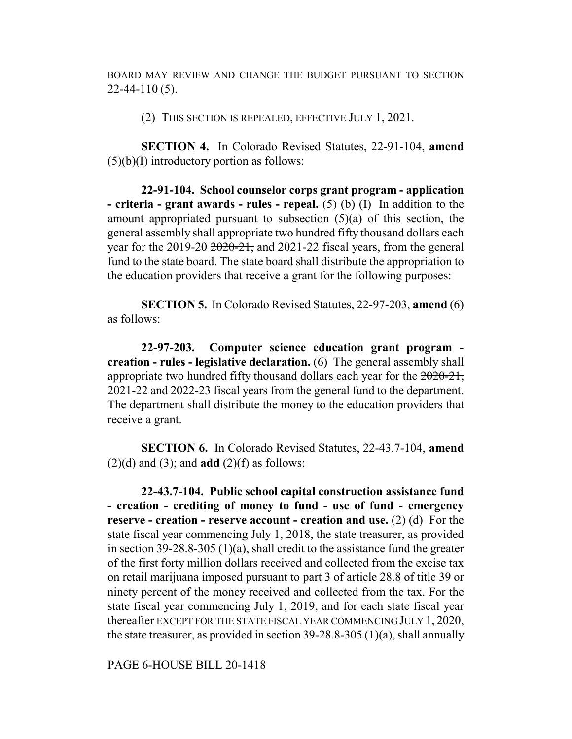BOARD MAY REVIEW AND CHANGE THE BUDGET PURSUANT TO SECTION 22-44-110 (5).

(2) THIS SECTION IS REPEALED, EFFECTIVE JULY 1, 2021.

**SECTION 4.** In Colorado Revised Statutes, 22-91-104, **amend**  $(5)(b)(I)$  introductory portion as follows:

**22-91-104. School counselor corps grant program - application - criteria - grant awards - rules - repeal.** (5) (b) (I) In addition to the amount appropriated pursuant to subsection (5)(a) of this section, the general assembly shall appropriate two hundred fifty thousand dollars each year for the 2019-20  $2020-21$ , and 2021-22 fiscal years, from the general fund to the state board. The state board shall distribute the appropriation to the education providers that receive a grant for the following purposes:

**SECTION 5.** In Colorado Revised Statutes, 22-97-203, **amend** (6) as follows:

**22-97-203. Computer science education grant program creation - rules - legislative declaration.** (6) The general assembly shall appropriate two hundred fifty thousand dollars each year for the  $2020-21$ , 2021-22 and 2022-23 fiscal years from the general fund to the department. The department shall distribute the money to the education providers that receive a grant.

**SECTION 6.** In Colorado Revised Statutes, 22-43.7-104, **amend**  $(2)(d)$  and  $(3)$ ; and **add**  $(2)(f)$  as follows:

**22-43.7-104. Public school capital construction assistance fund - creation - crediting of money to fund - use of fund - emergency reserve - creation - reserve account - creation and use.** (2) (d) For the state fiscal year commencing July 1, 2018, the state treasurer, as provided in section 39-28.8-305 (1)(a), shall credit to the assistance fund the greater of the first forty million dollars received and collected from the excise tax on retail marijuana imposed pursuant to part 3 of article 28.8 of title 39 or ninety percent of the money received and collected from the tax. For the state fiscal year commencing July 1, 2019, and for each state fiscal year thereafter EXCEPT FOR THE STATE FISCAL YEAR COMMENCING JULY 1, 2020, the state treasurer, as provided in section 39-28.8-305 (1)(a), shall annually

PAGE 6-HOUSE BILL 20-1418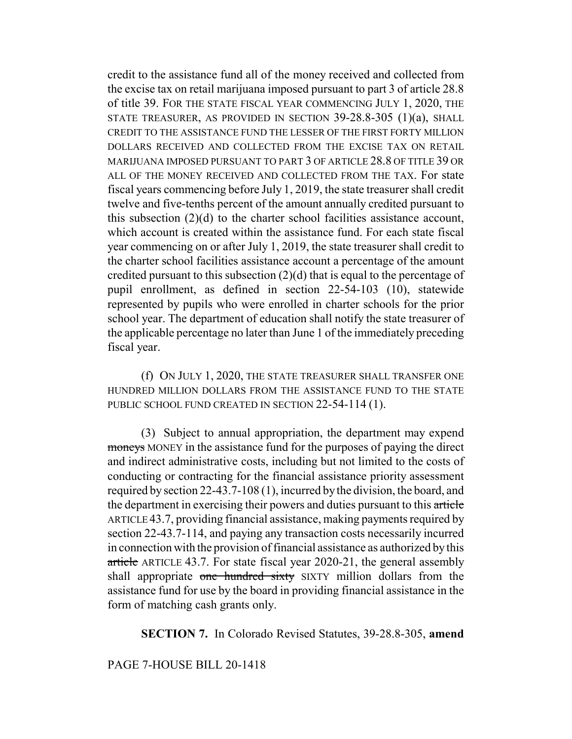credit to the assistance fund all of the money received and collected from the excise tax on retail marijuana imposed pursuant to part 3 of article 28.8 of title 39. FOR THE STATE FISCAL YEAR COMMENCING JULY 1, 2020, THE STATE TREASURER, AS PROVIDED IN SECTION 39-28.8-305 (1)(a), SHALL CREDIT TO THE ASSISTANCE FUND THE LESSER OF THE FIRST FORTY MILLION DOLLARS RECEIVED AND COLLECTED FROM THE EXCISE TAX ON RETAIL MARIJUANA IMPOSED PURSUANT TO PART 3 OF ARTICLE 28.8 OF TITLE 39 OR ALL OF THE MONEY RECEIVED AND COLLECTED FROM THE TAX. For state fiscal years commencing before July 1, 2019, the state treasurer shall credit twelve and five-tenths percent of the amount annually credited pursuant to this subsection (2)(d) to the charter school facilities assistance account, which account is created within the assistance fund. For each state fiscal year commencing on or after July 1, 2019, the state treasurer shall credit to the charter school facilities assistance account a percentage of the amount credited pursuant to this subsection (2)(d) that is equal to the percentage of pupil enrollment, as defined in section 22-54-103 (10), statewide represented by pupils who were enrolled in charter schools for the prior school year. The department of education shall notify the state treasurer of the applicable percentage no later than June 1 of the immediately preceding fiscal year.

(f) ON JULY 1, 2020, THE STATE TREASURER SHALL TRANSFER ONE HUNDRED MILLION DOLLARS FROM THE ASSISTANCE FUND TO THE STATE PUBLIC SCHOOL FUND CREATED IN SECTION 22-54-114 (1).

(3) Subject to annual appropriation, the department may expend moneys MONEY in the assistance fund for the purposes of paying the direct and indirect administrative costs, including but not limited to the costs of conducting or contracting for the financial assistance priority assessment required by section 22-43.7-108 (1), incurred by the division, the board, and the department in exercising their powers and duties pursuant to this article ARTICLE 43.7, providing financial assistance, making payments required by section 22-43.7-114, and paying any transaction costs necessarily incurred in connection with the provision of financial assistance as authorized by this article ARTICLE 43.7. For state fiscal year 2020-21, the general assembly shall appropriate one hundred sixty SIXTY million dollars from the assistance fund for use by the board in providing financial assistance in the form of matching cash grants only.

**SECTION 7.** In Colorado Revised Statutes, 39-28.8-305, **amend**

## PAGE 7-HOUSE BILL 20-1418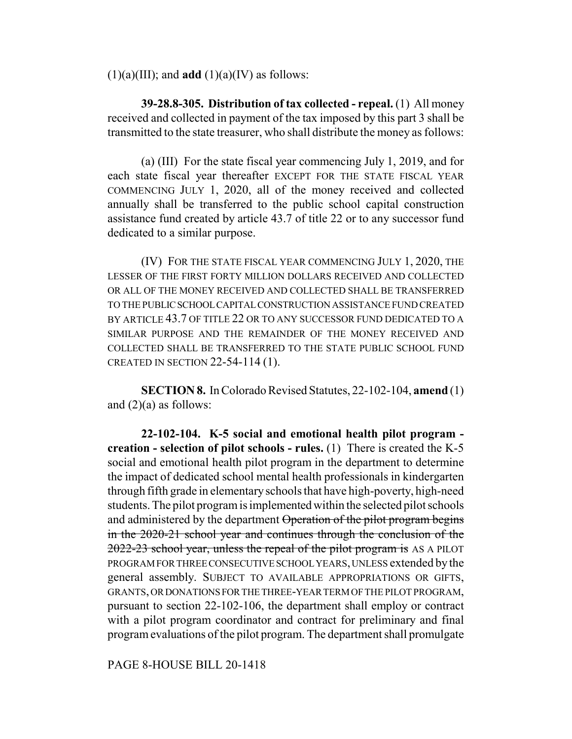$(1)(a)(III)$ ; and **add**  $(1)(a)(IV)$  as follows:

**39-28.8-305. Distribution of tax collected - repeal.** (1) All money received and collected in payment of the tax imposed by this part 3 shall be transmitted to the state treasurer, who shall distribute the money as follows:

(a) (III) For the state fiscal year commencing July 1, 2019, and for each state fiscal year thereafter EXCEPT FOR THE STATE FISCAL YEAR COMMENCING JULY 1, 2020, all of the money received and collected annually shall be transferred to the public school capital construction assistance fund created by article 43.7 of title 22 or to any successor fund dedicated to a similar purpose.

(IV) FOR THE STATE FISCAL YEAR COMMENCING JULY 1, 2020, THE LESSER OF THE FIRST FORTY MILLION DOLLARS RECEIVED AND COLLECTED OR ALL OF THE MONEY RECEIVED AND COLLECTED SHALL BE TRANSFERRED TO THE PUBLIC SCHOOL CAPITAL CONSTRUCTION ASSISTANCE FUND CREATED BY ARTICLE 43.7 OF TITLE 22 OR TO ANY SUCCESSOR FUND DEDICATED TO A SIMILAR PURPOSE AND THE REMAINDER OF THE MONEY RECEIVED AND COLLECTED SHALL BE TRANSFERRED TO THE STATE PUBLIC SCHOOL FUND CREATED IN SECTION 22-54-114 (1).

**SECTION 8.** In Colorado Revised Statutes, 22-102-104, **amend** (1) and  $(2)(a)$  as follows:

**22-102-104. K-5 social and emotional health pilot program creation - selection of pilot schools - rules.** (1) There is created the K-5 social and emotional health pilot program in the department to determine the impact of dedicated school mental health professionals in kindergarten through fifth grade in elementary schools that have high-poverty, high-need students. The pilot program is implemented within the selected pilot schools and administered by the department Operation of the pilot program begins in the 2020-21 school year and continues through the conclusion of the 2022-23 school year, unless the repeal of the pilot program is AS A PILOT PROGRAM FOR THREE CONSECUTIVE SCHOOL YEARS, UNLESS extended by the general assembly. SUBJECT TO AVAILABLE APPROPRIATIONS OR GIFTS, GRANTS, OR DONATIONS FOR THE THREE-YEAR TERM OF THE PILOT PROGRAM, pursuant to section 22-102-106, the department shall employ or contract with a pilot program coordinator and contract for preliminary and final program evaluations of the pilot program. The department shall promulgate

PAGE 8-HOUSE BILL 20-1418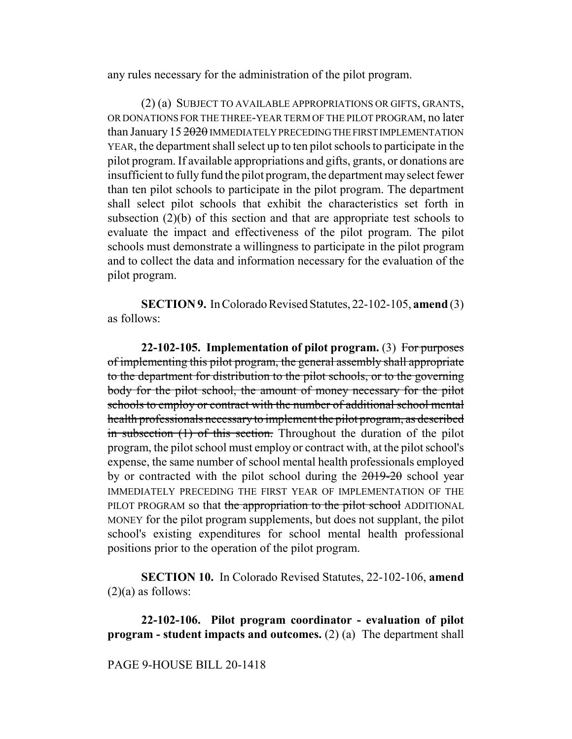any rules necessary for the administration of the pilot program.

(2) (a) SUBJECT TO AVAILABLE APPROPRIATIONS OR GIFTS, GRANTS, OR DONATIONS FOR THE THREE-YEAR TERM OF THE PILOT PROGRAM, no later than January 15 2020 IMMEDIATELY PRECEDING THE FIRST IMPLEMENTATION YEAR, the department shall select up to ten pilot schools to participate in the pilot program. If available appropriations and gifts, grants, or donations are insufficient to fully fund the pilot program, the department may select fewer than ten pilot schools to participate in the pilot program. The department shall select pilot schools that exhibit the characteristics set forth in subsection  $(2)(b)$  of this section and that are appropriate test schools to evaluate the impact and effectiveness of the pilot program. The pilot schools must demonstrate a willingness to participate in the pilot program and to collect the data and information necessary for the evaluation of the pilot program.

**SECTION 9.** In Colorado Revised Statutes, 22-102-105, **amend** (3) as follows:

**22-102-105. Implementation of pilot program.** (3) For purposes of implementing this pilot program, the general assembly shall appropriate to the department for distribution to the pilot schools, or to the governing body for the pilot school, the amount of money necessary for the pilot schools to employ or contract with the number of additional school mental health professionals necessary to implement the pilot program, as described in subsection (1) of this section. Throughout the duration of the pilot program, the pilot school must employ or contract with, at the pilot school's expense, the same number of school mental health professionals employed by or contracted with the pilot school during the  $2019-20$  school year IMMEDIATELY PRECEDING THE FIRST YEAR OF IMPLEMENTATION OF THE PILOT PROGRAM so that the appropriation to the pilot school ADDITIONAL MONEY for the pilot program supplements, but does not supplant, the pilot school's existing expenditures for school mental health professional positions prior to the operation of the pilot program.

**SECTION 10.** In Colorado Revised Statutes, 22-102-106, **amend**  $(2)(a)$  as follows:

**22-102-106. Pilot program coordinator - evaluation of pilot program - student impacts and outcomes.** (2) (a) The department shall

## PAGE 9-HOUSE BILL 20-1418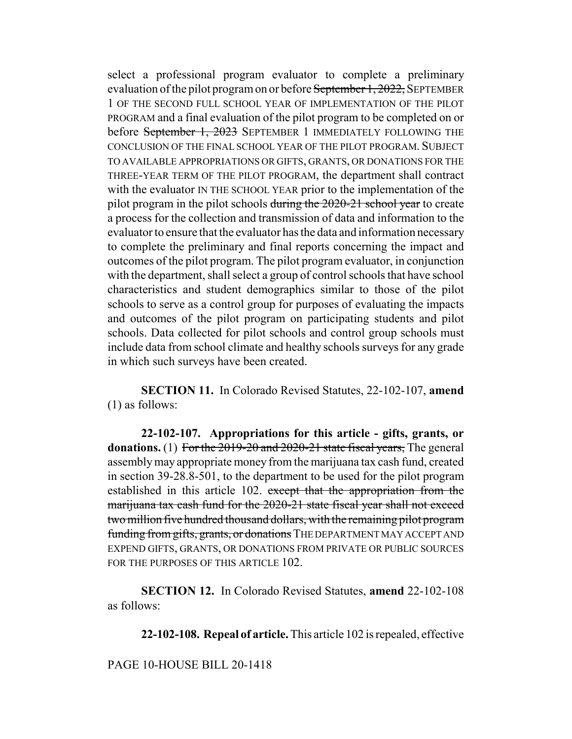select a professional program evaluator to complete a preliminary evaluation of the pilot program on or before September 1, 2022, SEPTEMBER 1 OF THE SECOND FULL SCHOOL YEAR OF IMPLEMENTATION OF THE PILOT PROGRAM and a final evaluation of the pilot program to be completed on or before September 1, 2023 SEPTEMBER 1 IMMEDIATELY FOLLOWING THE CONCLUSION OF THE FINAL SCHOOL YEAR OF THE PILOT PROGRAM. SUBJECT TO AVAILABLE APPROPRIATIONS OR GIFTS, GRANTS, OR DONATIONS FOR THE THREE-YEAR TERM OF THE PILOT PROGRAM, the department shall contract with the evaluator IN THE SCHOOL YEAR prior to the implementation of the pilot program in the pilot schools during the 2020-21 school year to create a process for the collection and transmission of data and information to the evaluator to ensure that the evaluator has the data and information necessary to complete the preliminary and final reports concerning the impact and outcomes of the pilot program. The pilot program evaluator, in conjunction with the department, shall select a group of control schools that have school characteristics and student demographics similar to those of the pilot schools to serve as a control group for purposes of evaluating the impacts and outcomes of the pilot program on participating students and pilot schools. Data collected for pilot schools and control group schools must include data from school climate and healthy schools surveys for any grade in which such surveys have been created.

**SECTION 11.** In Colorado Revised Statutes, 22-102-107, **amend** (1) as follows:

**22-102-107. Appropriations for this article - gifts, grants, or donations.** (1) For the 2019-20 and 2020-21 state fiscal years. The general assembly may appropriate money from the marijuana tax cash fund, created in section 39-28.8-501, to the department to be used for the pilot program established in this article 102. except that the appropriation from the marijuana tax cash fund for the 2020-21 state fiscal year shall not exceed two million five hundred thousand dollars, with the remaining pilot program funding from gifts, grants, or donations THE DEPARTMENT MAY ACCEPT AND EXPEND GIFTS, GRANTS, OR DONATIONS FROM PRIVATE OR PUBLIC SOURCES FOR THE PURPOSES OF THIS ARTICLE 102.

**SECTION 12.** In Colorado Revised Statutes, **amend** 22-102-108 as follows:

**22-102-108. Repeal of article.** This article 102 is repealed, effective

PAGE 10-HOUSE BILL 20-1418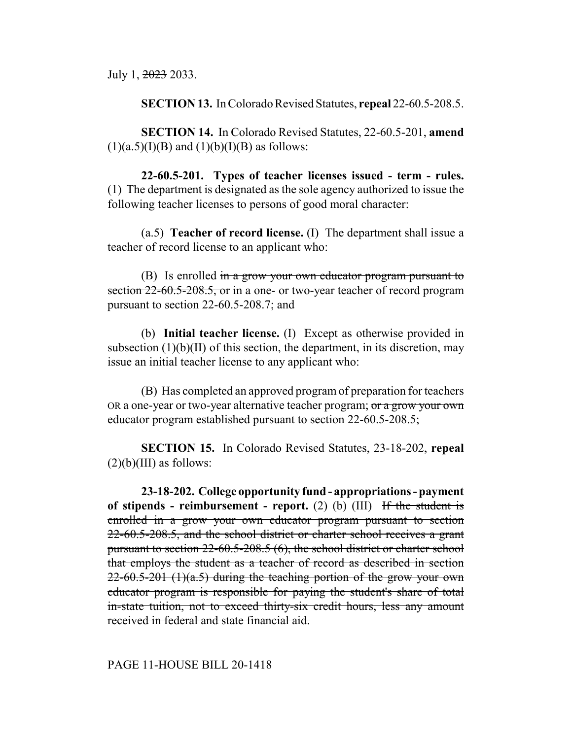July 1, 2023 2033.

**SECTION 13.** In Colorado Revised Statutes, **repeal** 22-60.5-208.5.

**SECTION 14.** In Colorado Revised Statutes, 22-60.5-201, **amend**  $(1)(a.5)(I)(B)$  and  $(1)(b)(I)(B)$  as follows:

**22-60.5-201. Types of teacher licenses issued - term - rules.** (1) The department is designated as the sole agency authorized to issue the following teacher licenses to persons of good moral character:

(a.5) **Teacher of record license.** (I) The department shall issue a teacher of record license to an applicant who:

(B) Is enrolled in a grow your own educator program pursuant to section 22-60.5-208.5, or in a one- or two-year teacher of record program pursuant to section 22-60.5-208.7; and

(b) **Initial teacher license.** (I) Except as otherwise provided in subsection  $(1)(b)(II)$  of this section, the department, in its discretion, may issue an initial teacher license to any applicant who:

(B) Has completed an approved program of preparation for teachers OR a one-year or two-year alternative teacher program; or a grow your own educator program established pursuant to section 22-60.5-208.5;

**SECTION 15.** In Colorado Revised Statutes, 23-18-202, **repeal**  $(2)(b)(III)$  as follows:

**23-18-202. College opportunity fund - appropriations - payment of stipends - reimbursement - report.** (2) (b) (III) If the student is enrolled in a grow your own educator program pursuant to section 22-60.5-208.5, and the school district or charter school receives a grant pursuant to section 22-60.5-208.5 (6), the school district or charter school that employs the student as a teacher of record as described in section  $22-60.5-201$  (1)(a.5) during the teaching portion of the grow your own educator program is responsible for paying the student's share of total in-state tuition, not to exceed thirty-six credit hours, less any amount received in federal and state financial aid.

# PAGE 11-HOUSE BILL 20-1418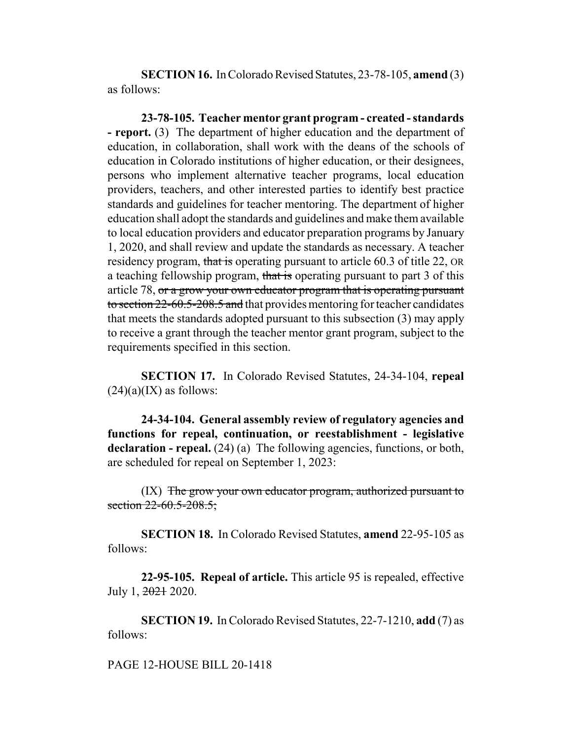**SECTION 16.** In Colorado Revised Statutes, 23-78-105, **amend** (3) as follows:

**23-78-105. Teacher mentor grant program - created - standards - report.** (3) The department of higher education and the department of education, in collaboration, shall work with the deans of the schools of education in Colorado institutions of higher education, or their designees, persons who implement alternative teacher programs, local education providers, teachers, and other interested parties to identify best practice standards and guidelines for teacher mentoring. The department of higher education shall adopt the standards and guidelines and make them available to local education providers and educator preparation programs by January 1, 2020, and shall review and update the standards as necessary. A teacher residency program, that is operating pursuant to article 60.3 of title 22, OR a teaching fellowship program, that is operating pursuant to part 3 of this article 78, or a grow your own educator program that is operating pursuant to section 22-60.5-208.5 and that provides mentoring for teacher candidates that meets the standards adopted pursuant to this subsection (3) may apply to receive a grant through the teacher mentor grant program, subject to the requirements specified in this section.

**SECTION 17.** In Colorado Revised Statutes, 24-34-104, **repeal**  $(24)(a)(IX)$  as follows:

**24-34-104. General assembly review of regulatory agencies and functions for repeal, continuation, or reestablishment - legislative declaration - repeal.** (24) (a) The following agencies, functions, or both, are scheduled for repeal on September 1, 2023:

(IX) The grow your own educator program, authorized pursuant to section  $22 - 60.5 - 208.5$ ;

**SECTION 18.** In Colorado Revised Statutes, **amend** 22-95-105 as follows:

**22-95-105. Repeal of article.** This article 95 is repealed, effective July 1, 2021 2020.

**SECTION 19.** In Colorado Revised Statutes, 22-7-1210, **add** (7) as follows:

PAGE 12-HOUSE BILL 20-1418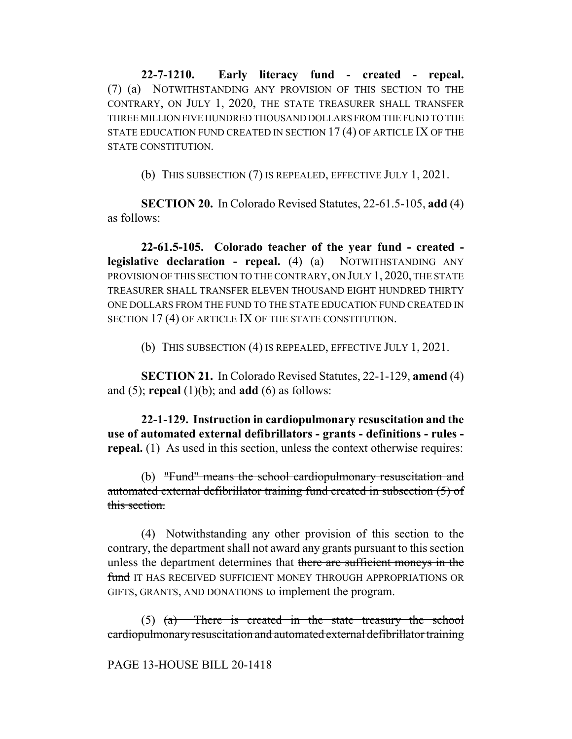**22-7-1210. Early literacy fund - created - repeal.** (7) (a) NOTWITHSTANDING ANY PROVISION OF THIS SECTION TO THE CONTRARY, ON JULY 1, 2020, THE STATE TREASURER SHALL TRANSFER THREE MILLION FIVE HUNDRED THOUSAND DOLLARS FROM THE FUND TO THE STATE EDUCATION FUND CREATED IN SECTION 17 (4) OF ARTICLE IX OF THE STATE CONSTITUTION.

(b) THIS SUBSECTION (7) IS REPEALED, EFFECTIVE JULY 1, 2021.

**SECTION 20.** In Colorado Revised Statutes, 22-61.5-105, **add** (4) as follows:

**22-61.5-105. Colorado teacher of the year fund - created legislative declaration - repeal.** (4) (a) NOTWITHSTANDING ANY PROVISION OF THIS SECTION TO THE CONTRARY, ON JULY 1, 2020, THE STATE TREASURER SHALL TRANSFER ELEVEN THOUSAND EIGHT HUNDRED THIRTY ONE DOLLARS FROM THE FUND TO THE STATE EDUCATION FUND CREATED IN SECTION 17 (4) OF ARTICLE IX OF THE STATE CONSTITUTION.

(b) THIS SUBSECTION (4) IS REPEALED, EFFECTIVE JULY 1, 2021.

**SECTION 21.** In Colorado Revised Statutes, 22-1-129, **amend** (4) and (5); **repeal** (1)(b); and **add** (6) as follows:

**22-1-129. Instruction in cardiopulmonary resuscitation and the use of automated external defibrillators - grants - definitions - rules repeal.** (1) As used in this section, unless the context otherwise requires:

(b) "Fund" means the school cardiopulmonary resuscitation and automated external defibrillator training fund created in subsection (5) of this section.

(4) Notwithstanding any other provision of this section to the contrary, the department shall not award any grants pursuant to this section unless the department determines that there are sufficient moneys in the fund IT HAS RECEIVED SUFFICIENT MONEY THROUGH APPROPRIATIONS OR GIFTS, GRANTS, AND DONATIONS to implement the program.

(5) (a) There is created in the state treasury the school cardiopulmonary resuscitation and automated external defibrillator training

### PAGE 13-HOUSE BILL 20-1418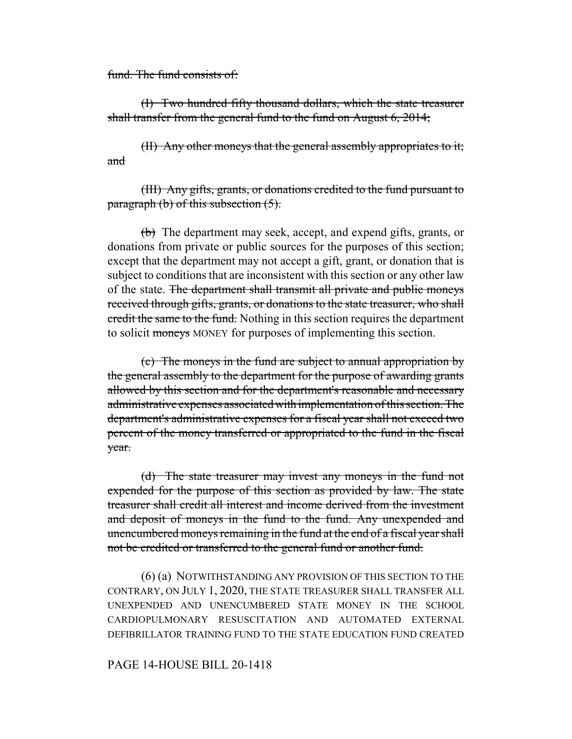fund. The fund consists of:

(I) Two hundred fifty thousand dollars, which the state treasurer shall transfer from the general fund to the fund on August 6, 2014;

(II) Any other moneys that the general assembly appropriates to it; and

(III) Any gifts, grants, or donations credited to the fund pursuant to paragraph (b) of this subsection  $(5)$ .

(b) The department may seek, accept, and expend gifts, grants, or donations from private or public sources for the purposes of this section; except that the department may not accept a gift, grant, or donation that is subject to conditions that are inconsistent with this section or any other law of the state. The department shall transmit all private and public moneys received through gifts, grants, or donations to the state treasurer, who shall credit the same to the fund. Nothing in this section requires the department to solicit moneys MONEY for purposes of implementing this section.

(c) The moneys in the fund are subject to annual appropriation by the general assembly to the department for the purpose of awarding grants allowed by this section and for the department's reasonable and necessary administrative expenses associated with implementation of this section. The department's administrative expenses for a fiscal year shall not exceed two percent of the money transferred or appropriated to the fund in the fiscal year.

(d) The state treasurer may invest any moneys in the fund not expended for the purpose of this section as provided by law. The state treasurer shall credit all interest and income derived from the investment and deposit of moneys in the fund to the fund. Any unexpended and unencumbered moneys remaining in the fund at the end of a fiscal year shall not be credited or transferred to the general fund or another fund.

(6) (a) NOTWITHSTANDING ANY PROVISION OF THIS SECTION TO THE CONTRARY, ON JULY 1, 2020, THE STATE TREASURER SHALL TRANSFER ALL UNEXPENDED AND UNENCUMBERED STATE MONEY IN THE SCHOOL CARDIOPULMONARY RESUSCITATION AND AUTOMATED EXTERNAL DEFIBRILLATOR TRAINING FUND TO THE STATE EDUCATION FUND CREATED

# PAGE 14-HOUSE BILL 20-1418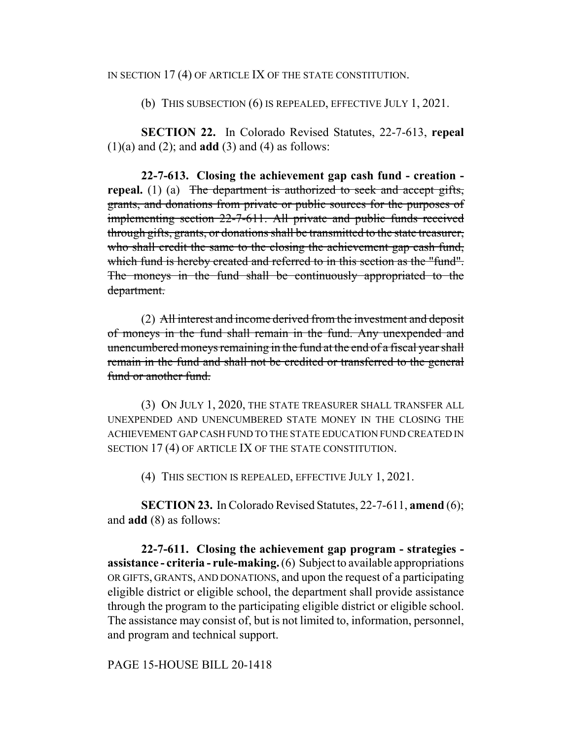#### IN SECTION 17 (4) OF ARTICLE IX OF THE STATE CONSTITUTION.

(b) THIS SUBSECTION (6) IS REPEALED, EFFECTIVE JULY 1, 2021.

**SECTION 22.** In Colorado Revised Statutes, 22-7-613, **repeal**  $(1)(a)$  and  $(2)$ ; and **add**  $(3)$  and  $(4)$  as follows:

**22-7-613. Closing the achievement gap cash fund - creation repeal.** (1) (a) The department is authorized to seek and accept gifts, grants, and donations from private or public sources for the purposes of implementing section 22-7-611. All private and public funds received through gifts, grants, or donations shall be transmitted to the state treasurer, who shall credit the same to the closing the achievement gap cash fund, which fund is hereby created and referred to in this section as the "fund". The moneys in the fund shall be continuously appropriated to the department.

(2) All interest and income derived from the investment and deposit of moneys in the fund shall remain in the fund. Any unexpended and unencumbered moneys remaining in the fund at the end of a fiscal year shall remain in the fund and shall not be credited or transferred to the general fund or another fund.

(3) ON JULY 1, 2020, THE STATE TREASURER SHALL TRANSFER ALL UNEXPENDED AND UNENCUMBERED STATE MONEY IN THE CLOSING THE ACHIEVEMENT GAP CASH FUND TO THE STATE EDUCATION FUND CREATED IN SECTION 17 (4) OF ARTICLE IX OF THE STATE CONSTITUTION.

(4) THIS SECTION IS REPEALED, EFFECTIVE JULY 1, 2021.

**SECTION 23.** In Colorado Revised Statutes, 22-7-611, **amend** (6); and **add** (8) as follows:

**22-7-611. Closing the achievement gap program - strategies assistance - criteria - rule-making.** (6) Subject to available appropriations OR GIFTS, GRANTS, AND DONATIONS, and upon the request of a participating eligible district or eligible school, the department shall provide assistance through the program to the participating eligible district or eligible school. The assistance may consist of, but is not limited to, information, personnel, and program and technical support.

PAGE 15-HOUSE BILL 20-1418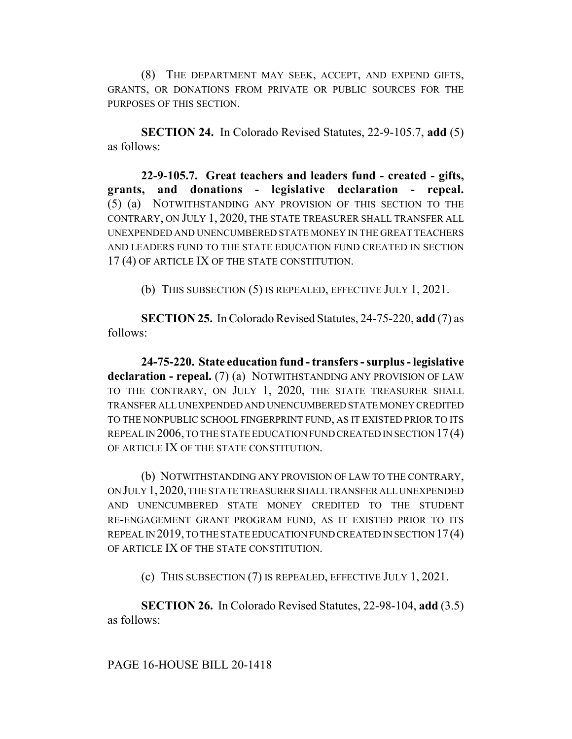(8) THE DEPARTMENT MAY SEEK, ACCEPT, AND EXPEND GIFTS, GRANTS, OR DONATIONS FROM PRIVATE OR PUBLIC SOURCES FOR THE PURPOSES OF THIS SECTION.

**SECTION 24.** In Colorado Revised Statutes, 22-9-105.7, **add** (5) as follows:

**22-9-105.7. Great teachers and leaders fund - created - gifts, grants, and donations - legislative declaration - repeal.** (5) (a) NOTWITHSTANDING ANY PROVISION OF THIS SECTION TO THE CONTRARY, ON JULY 1, 2020, THE STATE TREASURER SHALL TRANSFER ALL UNEXPENDED AND UNENCUMBERED STATE MONEY IN THE GREAT TEACHERS AND LEADERS FUND TO THE STATE EDUCATION FUND CREATED IN SECTION 17 (4) OF ARTICLE IX OF THE STATE CONSTITUTION.

(b) THIS SUBSECTION (5) IS REPEALED, EFFECTIVE JULY 1, 2021.

**SECTION 25.** In Colorado Revised Statutes, 24-75-220, **add** (7) as follows:

**24-75-220. State education fund - transfers - surplus - legislative declaration - repeal.** (7) (a) NOTWITHSTANDING ANY PROVISION OF LAW TO THE CONTRARY, ON JULY 1, 2020, THE STATE TREASURER SHALL TRANSFER ALL UNEXPENDED AND UNENCUMBERED STATE MONEY CREDITED TO THE NONPUBLIC SCHOOL FINGERPRINT FUND, AS IT EXISTED PRIOR TO ITS REPEAL IN 2006, TO THE STATE EDUCATION FUND CREATED IN SECTION 17(4) OF ARTICLE IX OF THE STATE CONSTITUTION.

(b) NOTWITHSTANDING ANY PROVISION OF LAW TO THE CONTRARY, ON JULY 1,2020, THE STATE TREASURER SHALL TRANSFER ALL UNEXPENDED AND UNENCUMBERED STATE MONEY CREDITED TO THE STUDENT RE-ENGAGEMENT GRANT PROGRAM FUND, AS IT EXISTED PRIOR TO ITS REPEAL IN 2019, TO THE STATE EDUCATION FUND CREATED IN SECTION 17(4) OF ARTICLE IX OF THE STATE CONSTITUTION.

(c) THIS SUBSECTION (7) IS REPEALED, EFFECTIVE JULY 1, 2021.

**SECTION 26.** In Colorado Revised Statutes, 22-98-104, **add** (3.5) as follows:

PAGE 16-HOUSE BILL 20-1418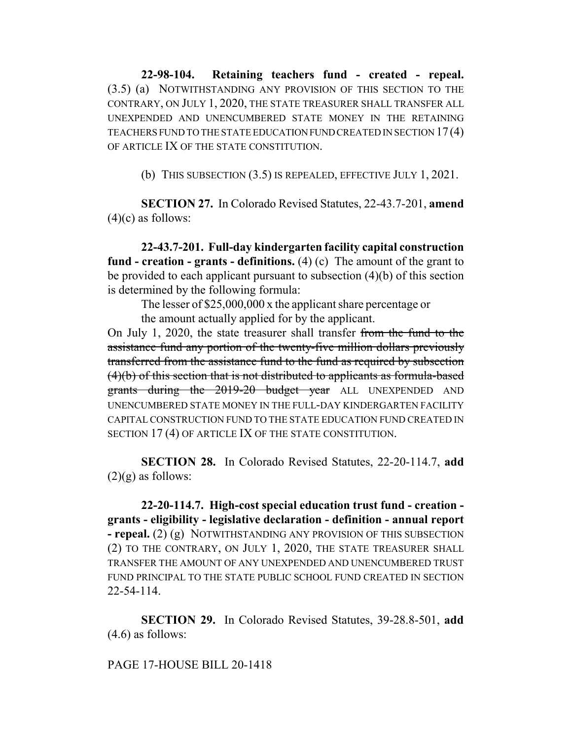**22-98-104. Retaining teachers fund - created - repeal.** (3.5) (a) NOTWITHSTANDING ANY PROVISION OF THIS SECTION TO THE CONTRARY, ON JULY 1, 2020, THE STATE TREASURER SHALL TRANSFER ALL UNEXPENDED AND UNENCUMBERED STATE MONEY IN THE RETAINING TEACHERS FUND TO THE STATE EDUCATION FUND CREATED IN SECTION 17(4) OF ARTICLE IX OF THE STATE CONSTITUTION.

(b) THIS SUBSECTION (3.5) IS REPEALED, EFFECTIVE JULY 1, 2021.

**SECTION 27.** In Colorado Revised Statutes, 22-43.7-201, **amend**  $(4)(c)$  as follows:

**22-43.7-201. Full-day kindergarten facility capital construction fund - creation - grants - definitions.** (4) (c) The amount of the grant to be provided to each applicant pursuant to subsection (4)(b) of this section is determined by the following formula:

The lesser of \$25,000,000 x the applicant share percentage or

the amount actually applied for by the applicant.

On July 1, 2020, the state treasurer shall transfer from the fund to the assistance fund any portion of the twenty-five million dollars previously transferred from the assistance fund to the fund as required by subsection (4)(b) of this section that is not distributed to applicants as formula-based grants during the 2019-20 budget year ALL UNEXPENDED AND UNENCUMBERED STATE MONEY IN THE FULL-DAY KINDERGARTEN FACILITY CAPITAL CONSTRUCTION FUND TO THE STATE EDUCATION FUND CREATED IN SECTION 17 (4) OF ARTICLE IX OF THE STATE CONSTITUTION.

**SECTION 28.** In Colorado Revised Statutes, 22-20-114.7, **add**  $(2)(g)$  as follows:

**22-20-114.7. High-cost special education trust fund - creation grants - eligibility - legislative declaration - definition - annual report - repeal.** (2) (g) NOTWITHSTANDING ANY PROVISION OF THIS SUBSECTION (2) TO THE CONTRARY, ON JULY 1, 2020, THE STATE TREASURER SHALL TRANSFER THE AMOUNT OF ANY UNEXPENDED AND UNENCUMBERED TRUST FUND PRINCIPAL TO THE STATE PUBLIC SCHOOL FUND CREATED IN SECTION 22-54-114.

**SECTION 29.** In Colorado Revised Statutes, 39-28.8-501, **add** (4.6) as follows:

# PAGE 17-HOUSE BILL 20-1418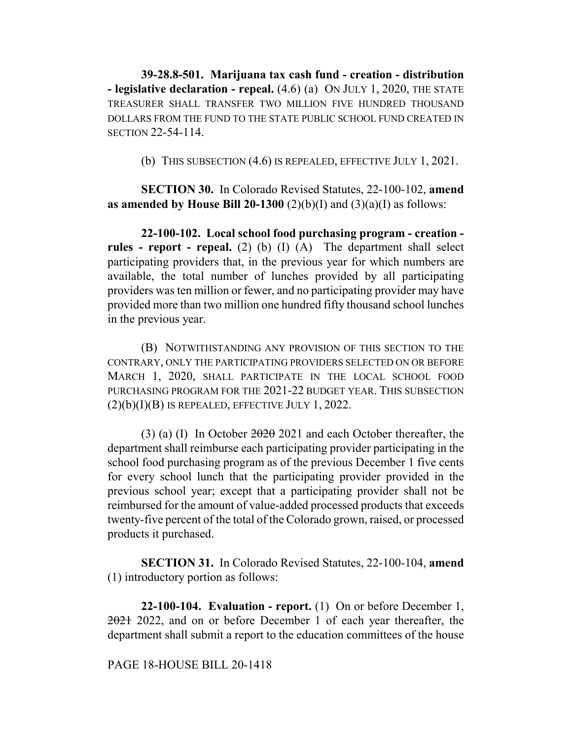**39-28.8-501. Marijuana tax cash fund - creation - distribution - legislative declaration - repeal.** (4.6) (a) ON JULY 1, 2020, THE STATE TREASURER SHALL TRANSFER TWO MILLION FIVE HUNDRED THOUSAND DOLLARS FROM THE FUND TO THE STATE PUBLIC SCHOOL FUND CREATED IN SECTION 22-54-114.

(b) THIS SUBSECTION (4.6) IS REPEALED, EFFECTIVE JULY 1, 2021.

**SECTION 30.** In Colorado Revised Statutes, 22-100-102, **amend as amended by House Bill 20-1300** (2)(b)(I) and (3)(a)(I) as follows:

**22-100-102. Local school food purchasing program - creation rules - report - repeal.** (2) (b) (I) (A) The department shall select participating providers that, in the previous year for which numbers are available, the total number of lunches provided by all participating providers was ten million or fewer, and no participating provider may have provided more than two million one hundred fifty thousand school lunches in the previous year.

(B) NOTWITHSTANDING ANY PROVISION OF THIS SECTION TO THE CONTRARY, ONLY THE PARTICIPATING PROVIDERS SELECTED ON OR BEFORE MARCH 1, 2020, SHALL PARTICIPATE IN THE LOCAL SCHOOL FOOD PURCHASING PROGRAM FOR THE 2021-22 BUDGET YEAR. THIS SUBSECTION  $(2)(b)(I)(B)$  IS REPEALED, EFFECTIVE JULY 1, 2022.

(3) (a) (I) In October 2020 2021 and each October thereafter, the department shall reimburse each participating provider participating in the school food purchasing program as of the previous December 1 five cents for every school lunch that the participating provider provided in the previous school year; except that a participating provider shall not be reimbursed for the amount of value-added processed products that exceeds twenty-five percent of the total of the Colorado grown, raised, or processed products it purchased.

**SECTION 31.** In Colorado Revised Statutes, 22-100-104, **amend** (1) introductory portion as follows:

**22-100-104. Evaluation - report.** (1) On or before December 1, 2021 2022, and on or before December 1 of each year thereafter, the department shall submit a report to the education committees of the house

## PAGE 18-HOUSE BILL 20-1418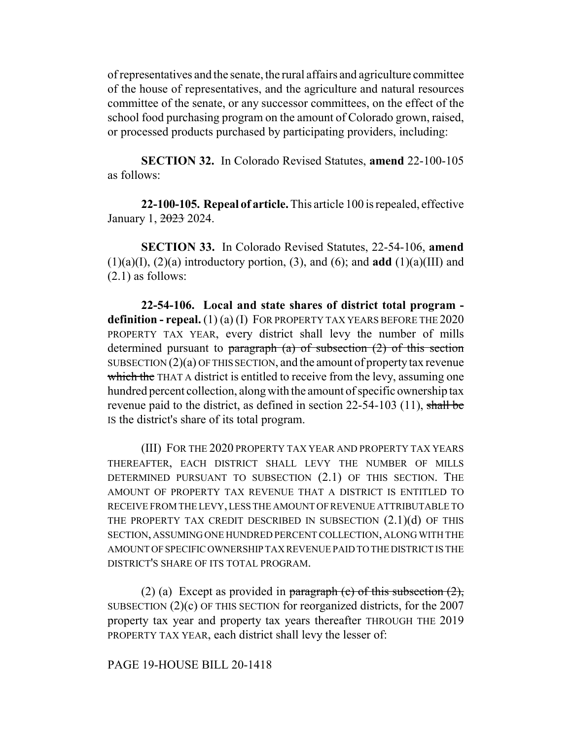of representatives and the senate, the rural affairs and agriculture committee of the house of representatives, and the agriculture and natural resources committee of the senate, or any successor committees, on the effect of the school food purchasing program on the amount of Colorado grown, raised, or processed products purchased by participating providers, including:

**SECTION 32.** In Colorado Revised Statutes, **amend** 22-100-105 as follows:

**22-100-105. Repeal of article.** This article 100 is repealed, effective January 1, 2023 2024.

**SECTION 33.** In Colorado Revised Statutes, 22-54-106, **amend**  $(1)(a)(I)$ ,  $(2)(a)$  introductory portion,  $(3)$ , and  $(6)$ ; and **add**  $(1)(a)(III)$  and (2.1) as follows:

**22-54-106. Local and state shares of district total program definition - repeal.** (1) (a) (I) FOR PROPERTY TAX YEARS BEFORE THE 2020 PROPERTY TAX YEAR, every district shall levy the number of mills determined pursuant to paragraph  $(a)$  of subsection  $(2)$  of this section SUBSECTION (2)(a) OF THIS SECTION, and the amount of property tax revenue which the THAT A district is entitled to receive from the levy, assuming one hundred percent collection, along with the amount of specific ownership tax revenue paid to the district, as defined in section 22-54-103 (11), shall be IS the district's share of its total program.

(III) FOR THE 2020 PROPERTY TAX YEAR AND PROPERTY TAX YEARS THEREAFTER, EACH DISTRICT SHALL LEVY THE NUMBER OF MILLS DETERMINED PURSUANT TO SUBSECTION (2.1) OF THIS SECTION. THE AMOUNT OF PROPERTY TAX REVENUE THAT A DISTRICT IS ENTITLED TO RECEIVE FROM THE LEVY, LESS THE AMOUNT OF REVENUE ATTRIBUTABLE TO THE PROPERTY TAX CREDIT DESCRIBED IN SUBSECTION  $(2.1)(d)$  OF THIS SECTION, ASSUMING ONE HUNDRED PERCENT COLLECTION, ALONG WITH THE AMOUNT OF SPECIFIC OWNERSHIP TAX REVENUE PAID TO THE DISTRICT IS THE DISTRICT'S SHARE OF ITS TOTAL PROGRAM.

(2) (a) Except as provided in paragraph (c) of this subsection  $(2)$ , SUBSECTION (2)(c) OF THIS SECTION for reorganized districts, for the 2007 property tax year and property tax years thereafter THROUGH THE 2019 PROPERTY TAX YEAR, each district shall levy the lesser of:

PAGE 19-HOUSE BILL 20-1418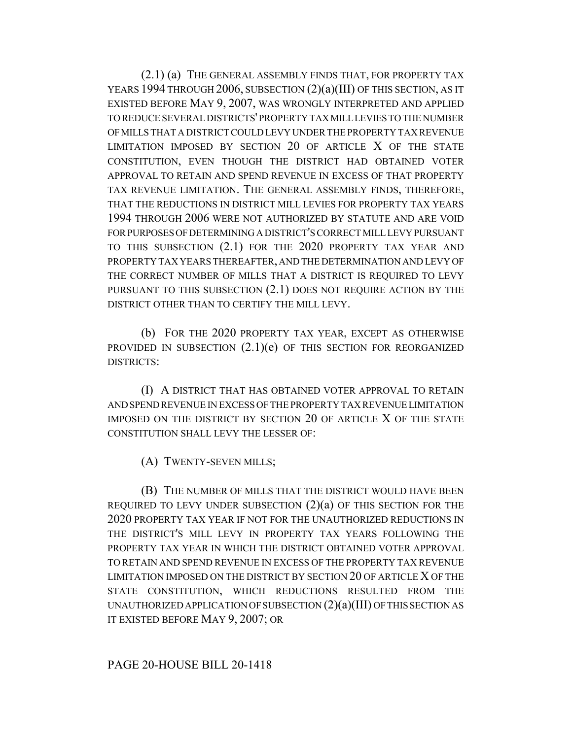(2.1) (a) THE GENERAL ASSEMBLY FINDS THAT, FOR PROPERTY TAX YEARS 1994 THROUGH 2006, SUBSECTION (2)(a)(III) OF THIS SECTION, AS IT EXISTED BEFORE MAY 9, 2007, WAS WRONGLY INTERPRETED AND APPLIED TO REDUCE SEVERAL DISTRICTS' PROPERTY TAX MILL LEVIES TO THE NUMBER OF MILLS THAT A DISTRICT COULD LEVY UNDER THE PROPERTY TAX REVENUE LIMITATION IMPOSED BY SECTION 20 OF ARTICLE X OF THE STATE CONSTITUTION, EVEN THOUGH THE DISTRICT HAD OBTAINED VOTER APPROVAL TO RETAIN AND SPEND REVENUE IN EXCESS OF THAT PROPERTY TAX REVENUE LIMITATION. THE GENERAL ASSEMBLY FINDS, THEREFORE, THAT THE REDUCTIONS IN DISTRICT MILL LEVIES FOR PROPERTY TAX YEARS 1994 THROUGH 2006 WERE NOT AUTHORIZED BY STATUTE AND ARE VOID FOR PURPOSES OF DETERMINING A DISTRICT'S CORRECT MILL LEVY PURSUANT TO THIS SUBSECTION (2.1) FOR THE 2020 PROPERTY TAX YEAR AND PROPERTY TAX YEARS THEREAFTER, AND THE DETERMINATION AND LEVY OF THE CORRECT NUMBER OF MILLS THAT A DISTRICT IS REQUIRED TO LEVY PURSUANT TO THIS SUBSECTION (2.1) DOES NOT REQUIRE ACTION BY THE DISTRICT OTHER THAN TO CERTIFY THE MILL LEVY.

(b) FOR THE 2020 PROPERTY TAX YEAR, EXCEPT AS OTHERWISE PROVIDED IN SUBSECTION  $(2.1)(e)$  OF THIS SECTION FOR REORGANIZED DISTRICTS:

(I) A DISTRICT THAT HAS OBTAINED VOTER APPROVAL TO RETAIN AND SPEND REVENUE IN EXCESS OF THE PROPERTY TAX REVENUE LIMITATION IMPOSED ON THE DISTRICT BY SECTION 20 OF ARTICLE X OF THE STATE CONSTITUTION SHALL LEVY THE LESSER OF:

(A) TWENTY-SEVEN MILLS;

(B) THE NUMBER OF MILLS THAT THE DISTRICT WOULD HAVE BEEN REQUIRED TO LEVY UNDER SUBSECTION  $(2)(a)$  OF THIS SECTION FOR THE 2020 PROPERTY TAX YEAR IF NOT FOR THE UNAUTHORIZED REDUCTIONS IN THE DISTRICT'S MILL LEVY IN PROPERTY TAX YEARS FOLLOWING THE PROPERTY TAX YEAR IN WHICH THE DISTRICT OBTAINED VOTER APPROVAL TO RETAIN AND SPEND REVENUE IN EXCESS OF THE PROPERTY TAX REVENUE LIMITATION IMPOSED ON THE DISTRICT BY SECTION 20 OF ARTICLE X OF THE STATE CONSTITUTION, WHICH REDUCTIONS RESULTED FROM THE UNAUTHORIZED APPLICATION OF SUBSECTION (2)(a)(III) OF THIS SECTION AS IT EXISTED BEFORE MAY 9, 2007; OR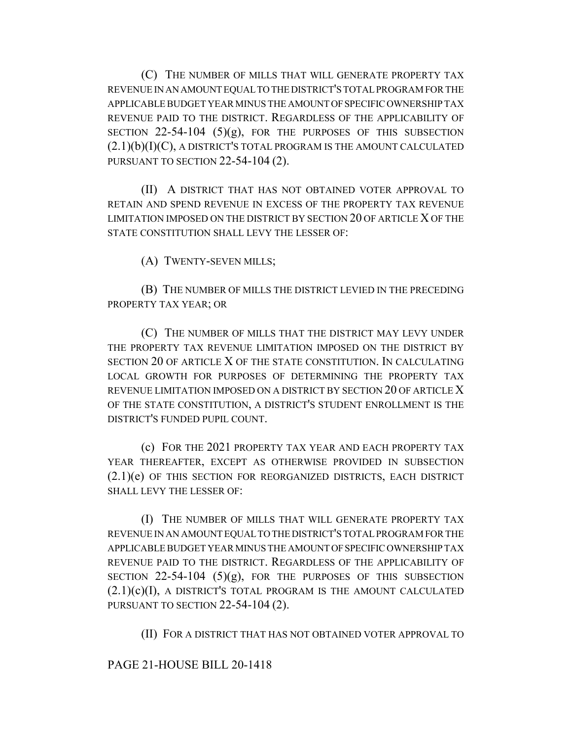(C) THE NUMBER OF MILLS THAT WILL GENERATE PROPERTY TAX REVENUE IN AN AMOUNT EQUAL TO THE DISTRICT'S TOTAL PROGRAM FOR THE APPLICABLE BUDGET YEAR MINUS THE AMOUNT OF SPECIFIC OWNERSHIP TAX REVENUE PAID TO THE DISTRICT. REGARDLESS OF THE APPLICABILITY OF SECTION  $22-54-104$  (5)(g), FOR THE PURPOSES OF THIS SUBSECTION  $(2.1)(b)(I)(C)$ , A DISTRICT'S TOTAL PROGRAM IS THE AMOUNT CALCULATED PURSUANT TO SECTION 22-54-104 (2).

(II) A DISTRICT THAT HAS NOT OBTAINED VOTER APPROVAL TO RETAIN AND SPEND REVENUE IN EXCESS OF THE PROPERTY TAX REVENUE LIMITATION IMPOSED ON THE DISTRICT BY SECTION 20 OF ARTICLE X OF THE STATE CONSTITUTION SHALL LEVY THE LESSER OF:

(A) TWENTY-SEVEN MILLS;

(B) THE NUMBER OF MILLS THE DISTRICT LEVIED IN THE PRECEDING PROPERTY TAX YEAR; OR

(C) THE NUMBER OF MILLS THAT THE DISTRICT MAY LEVY UNDER THE PROPERTY TAX REVENUE LIMITATION IMPOSED ON THE DISTRICT BY SECTION 20 OF ARTICLE X OF THE STATE CONSTITUTION. IN CALCULATING LOCAL GROWTH FOR PURPOSES OF DETERMINING THE PROPERTY TAX REVENUE LIMITATION IMPOSED ON A DISTRICT BY SECTION 20 OF ARTICLE X OF THE STATE CONSTITUTION, A DISTRICT'S STUDENT ENROLLMENT IS THE DISTRICT'S FUNDED PUPIL COUNT.

(c) FOR THE 2021 PROPERTY TAX YEAR AND EACH PROPERTY TAX YEAR THEREAFTER, EXCEPT AS OTHERWISE PROVIDED IN SUBSECTION (2.1)(e) OF THIS SECTION FOR REORGANIZED DISTRICTS, EACH DISTRICT SHALL LEVY THE LESSER OF:

(I) THE NUMBER OF MILLS THAT WILL GENERATE PROPERTY TAX REVENUE IN AN AMOUNT EQUAL TO THE DISTRICT'S TOTAL PROGRAM FOR THE APPLICABLE BUDGET YEAR MINUS THE AMOUNT OF SPECIFIC OWNERSHIP TAX REVENUE PAID TO THE DISTRICT. REGARDLESS OF THE APPLICABILITY OF SECTION  $22-54-104$  (5)(g), FOR THE PURPOSES OF THIS SUBSECTION  $(2.1)(c)(I)$ , A DISTRICT'S TOTAL PROGRAM IS THE AMOUNT CALCULATED PURSUANT TO SECTION 22-54-104 (2).

(II) FOR A DISTRICT THAT HAS NOT OBTAINED VOTER APPROVAL TO

# PAGE 21-HOUSE BILL 20-1418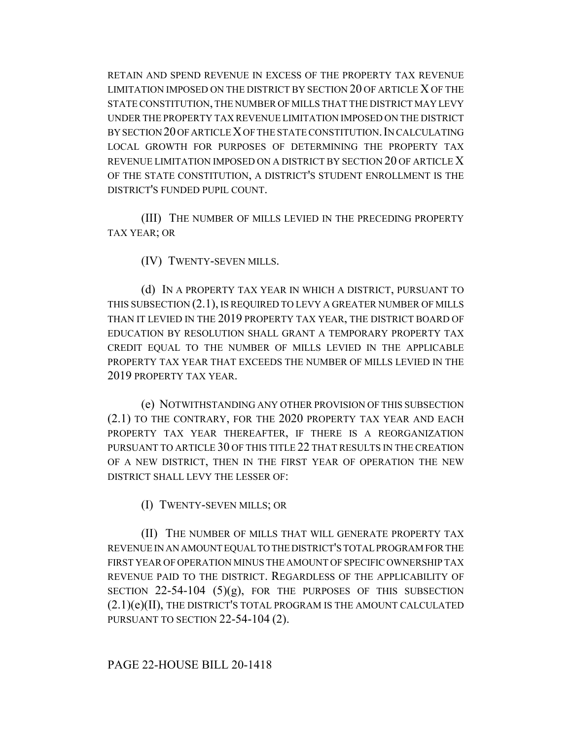RETAIN AND SPEND REVENUE IN EXCESS OF THE PROPERTY TAX REVENUE LIMITATION IMPOSED ON THE DISTRICT BY SECTION 20 OF ARTICLE X OF THE STATE CONSTITUTION, THE NUMBER OF MILLS THAT THE DISTRICT MAY LEVY UNDER THE PROPERTY TAX REVENUE LIMITATION IMPOSED ON THE DISTRICT BY SECTION 20 OF ARTICLE X OF THE STATE CONSTITUTION.IN CALCULATING LOCAL GROWTH FOR PURPOSES OF DETERMINING THE PROPERTY TAX REVENUE LIMITATION IMPOSED ON A DISTRICT BY SECTION 20 OF ARTICLE X OF THE STATE CONSTITUTION, A DISTRICT'S STUDENT ENROLLMENT IS THE DISTRICT'S FUNDED PUPIL COUNT.

(III) THE NUMBER OF MILLS LEVIED IN THE PRECEDING PROPERTY TAX YEAR; OR

(IV) TWENTY-SEVEN MILLS.

(d) IN A PROPERTY TAX YEAR IN WHICH A DISTRICT, PURSUANT TO THIS SUBSECTION (2.1), IS REQUIRED TO LEVY A GREATER NUMBER OF MILLS THAN IT LEVIED IN THE 2019 PROPERTY TAX YEAR, THE DISTRICT BOARD OF EDUCATION BY RESOLUTION SHALL GRANT A TEMPORARY PROPERTY TAX CREDIT EQUAL TO THE NUMBER OF MILLS LEVIED IN THE APPLICABLE PROPERTY TAX YEAR THAT EXCEEDS THE NUMBER OF MILLS LEVIED IN THE 2019 PROPERTY TAX YEAR.

(e) NOTWITHSTANDING ANY OTHER PROVISION OF THIS SUBSECTION (2.1) TO THE CONTRARY, FOR THE 2020 PROPERTY TAX YEAR AND EACH PROPERTY TAX YEAR THEREAFTER, IF THERE IS A REORGANIZATION PURSUANT TO ARTICLE 30 OF THIS TITLE 22 THAT RESULTS IN THE CREATION OF A NEW DISTRICT, THEN IN THE FIRST YEAR OF OPERATION THE NEW DISTRICT SHALL LEVY THE LESSER OF:

(I) TWENTY-SEVEN MILLS; OR

(II) THE NUMBER OF MILLS THAT WILL GENERATE PROPERTY TAX REVENUE IN AN AMOUNT EQUAL TO THE DISTRICT'S TOTAL PROGRAM FOR THE FIRST YEAR OF OPERATION MINUS THE AMOUNT OF SPECIFIC OWNERSHIP TAX REVENUE PAID TO THE DISTRICT. REGARDLESS OF THE APPLICABILITY OF SECTION  $22-54-104$  (5)(g), FOR THE PURPOSES OF THIS SUBSECTION (2.1)(e)(II), THE DISTRICT'S TOTAL PROGRAM IS THE AMOUNT CALCULATED PURSUANT TO SECTION 22-54-104 (2).

## PAGE 22-HOUSE BILL 20-1418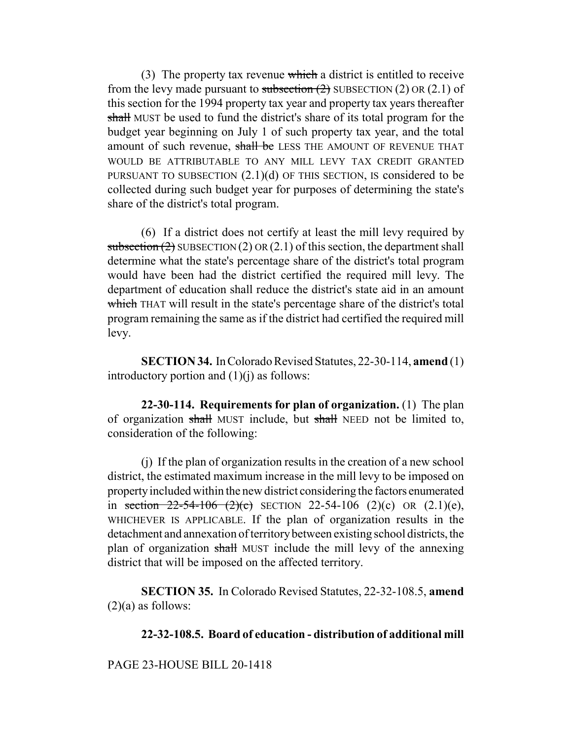(3) The property tax revenue which a district is entitled to receive from the levy made pursuant to subsection  $(2)$  SUBSECTION  $(2)$  OR  $(2.1)$  of this section for the 1994 property tax year and property tax years thereafter shall MUST be used to fund the district's share of its total program for the budget year beginning on July 1 of such property tax year, and the total amount of such revenue, shall be LESS THE AMOUNT OF REVENUE THAT WOULD BE ATTRIBUTABLE TO ANY MILL LEVY TAX CREDIT GRANTED PURSUANT TO SUBSECTION  $(2.1)(d)$  OF THIS SECTION, IS considered to be collected during such budget year for purposes of determining the state's share of the district's total program.

(6) If a district does not certify at least the mill levy required by subsection  $(2)$  SUBSECTION  $(2)$  OR  $(2.1)$  of this section, the department shall determine what the state's percentage share of the district's total program would have been had the district certified the required mill levy. The department of education shall reduce the district's state aid in an amount which THAT will result in the state's percentage share of the district's total program remaining the same as if the district had certified the required mill levy.

**SECTION 34.** In Colorado Revised Statutes, 22-30-114, **amend** (1) introductory portion and  $(1)(i)$  as follows:

**22-30-114. Requirements for plan of organization.** (1) The plan of organization shall MUST include, but shall NEED not be limited to, consideration of the following:

(j) If the plan of organization results in the creation of a new school district, the estimated maximum increase in the mill levy to be imposed on property included within the new district considering the factors enumerated in section  $22-54-106$  (2)(c) SECTION 22-54-106 (2)(c) OR (2.1)(e), WHICHEVER IS APPLICABLE. If the plan of organization results in the detachment and annexation of territory between existing school districts, the plan of organization shall MUST include the mill levy of the annexing district that will be imposed on the affected territory.

**SECTION 35.** In Colorado Revised Statutes, 22-32-108.5, **amend**  $(2)(a)$  as follows:

## **22-32-108.5. Board of education - distribution of additional mill**

PAGE 23-HOUSE BILL 20-1418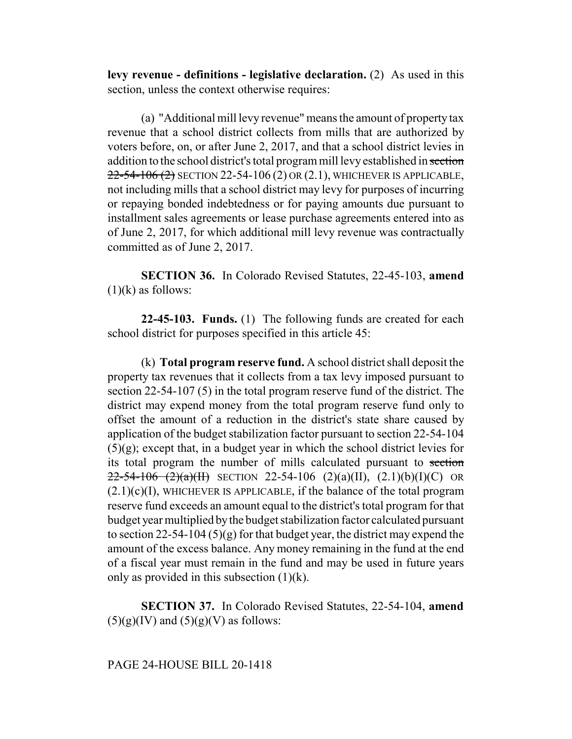**levy revenue - definitions - legislative declaration.** (2) As used in this section, unless the context otherwise requires:

(a) "Additional mill levy revenue" means the amount of property tax revenue that a school district collects from mills that are authorized by voters before, on, or after June 2, 2017, and that a school district levies in addition to the school district's total program mill levy established in section 22-54-106 (2) SECTION 22-54-106 (2) OR (2.1), WHICHEVER IS APPLICABLE, not including mills that a school district may levy for purposes of incurring or repaying bonded indebtedness or for paying amounts due pursuant to installment sales agreements or lease purchase agreements entered into as of June 2, 2017, for which additional mill levy revenue was contractually committed as of June 2, 2017.

**SECTION 36.** In Colorado Revised Statutes, 22-45-103, **amend**  $(1)(k)$  as follows:

**22-45-103. Funds.** (1) The following funds are created for each school district for purposes specified in this article 45:

(k) **Total program reserve fund.** A school district shall deposit the property tax revenues that it collects from a tax levy imposed pursuant to section 22-54-107 (5) in the total program reserve fund of the district. The district may expend money from the total program reserve fund only to offset the amount of a reduction in the district's state share caused by application of the budget stabilization factor pursuant to section 22-54-104 (5)(g); except that, in a budget year in which the school district levies for its total program the number of mills calculated pursuant to section  $22-54-106$   $(2)(a)(H)$  SECTION 22-54-106  $(2)(a)(H)$ ,  $(2.1)(b)(I)(C)$  OR  $(2.1)(c)(I)$ , WHICHEVER IS APPLICABLE, if the balance of the total program reserve fund exceeds an amount equal to the district's total program for that budget year multiplied by the budget stabilization factor calculated pursuant to section 22-54-104 (5)(g) for that budget year, the district may expend the amount of the excess balance. Any money remaining in the fund at the end of a fiscal year must remain in the fund and may be used in future years only as provided in this subsection  $(1)(k)$ .

**SECTION 37.** In Colorado Revised Statutes, 22-54-104, **amend**  $(5)(g)(IV)$  and  $(5)(g)(V)$  as follows:

### PAGE 24-HOUSE BILL 20-1418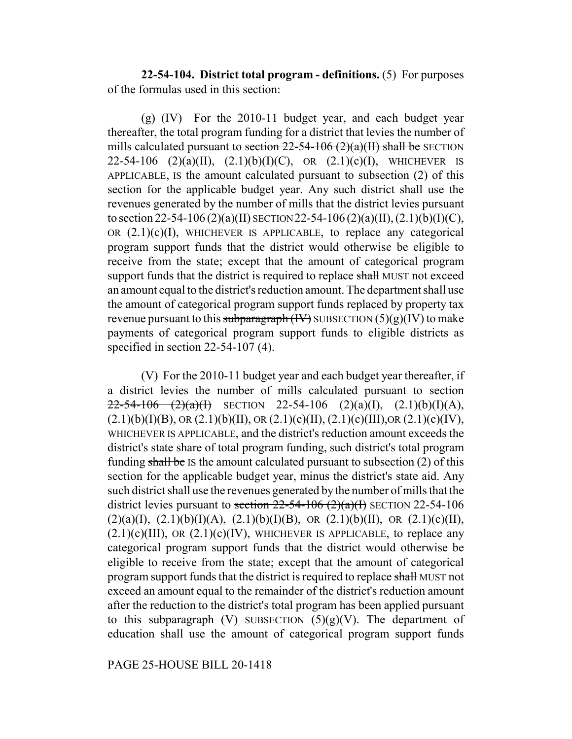**22-54-104. District total program - definitions.** (5) For purposes of the formulas used in this section:

(g) (IV) For the 2010-11 budget year, and each budget year thereafter, the total program funding for a district that levies the number of mills calculated pursuant to section  $22-54-106$  (2)(a)(II) shall be SECTION 22-54-106 (2)(a)(II), (2.1)(b)(I)(C), OR (2.1)(c)(I), WHICHEVER IS APPLICABLE, IS the amount calculated pursuant to subsection (2) of this section for the applicable budget year. Any such district shall use the revenues generated by the number of mills that the district levies pursuant to section  $22-54-106(2)(a)(H)$  SECTION 22-54-106 (2)(a)(II), (2.1)(b)(I)(C), OR  $(2.1)(c)(I)$ , WHICHEVER IS APPLICABLE, to replace any categorical program support funds that the district would otherwise be eligible to receive from the state; except that the amount of categorical program support funds that the district is required to replace shall MUST not exceed an amount equal to the district's reduction amount. The department shall use the amount of categorical program support funds replaced by property tax revenue pursuant to this subparagraph  $(W)$  SUBSECTION  $(5)(g)(IV)$  to make payments of categorical program support funds to eligible districts as specified in section 22-54-107 (4).

(V) For the 2010-11 budget year and each budget year thereafter, if a district levies the number of mills calculated pursuant to section  $22-54-106$   $(2)(a)(1)$  SECTION 22-54-106  $(2)(a)(1)$ ,  $(2.1)(b)(1)(A)$ ,  $(2.1)(b)(I)(B)$ , OR  $(2.1)(b)(II)$ , OR  $(2.1)(c)(II)$ ,  $(2.1)(c)(III)$ , OR  $(2.1)(c)(IV)$ , WHICHEVER IS APPLICABLE, and the district's reduction amount exceeds the district's state share of total program funding, such district's total program funding shall be IS the amount calculated pursuant to subsection  $(2)$  of this section for the applicable budget year, minus the district's state aid. Any such district shall use the revenues generated by the number of mills that the district levies pursuant to section  $22-54-106$  ( $2$ )( $a$ )( $I$ ) SECTION 22-54-106  $(2)(a)(I), (2.1)(b)(I)(A), (2.1)(b)(I)(B), \text{ OR } (2.1)(b)(II), \text{ OR } (2.1)(c)(II),$  $(2.1)(c)(III)$ , OR  $(2.1)(c)(IV)$ , WHICHEVER IS APPLICABLE, to replace any categorical program support funds that the district would otherwise be eligible to receive from the state; except that the amount of categorical program support funds that the district is required to replace shall MUST not exceed an amount equal to the remainder of the district's reduction amount after the reduction to the district's total program has been applied pursuant to this subparagraph  $(V)$  SUBSECTION  $(5)(g)(V)$ . The department of education shall use the amount of categorical program support funds

PAGE 25-HOUSE BILL 20-1418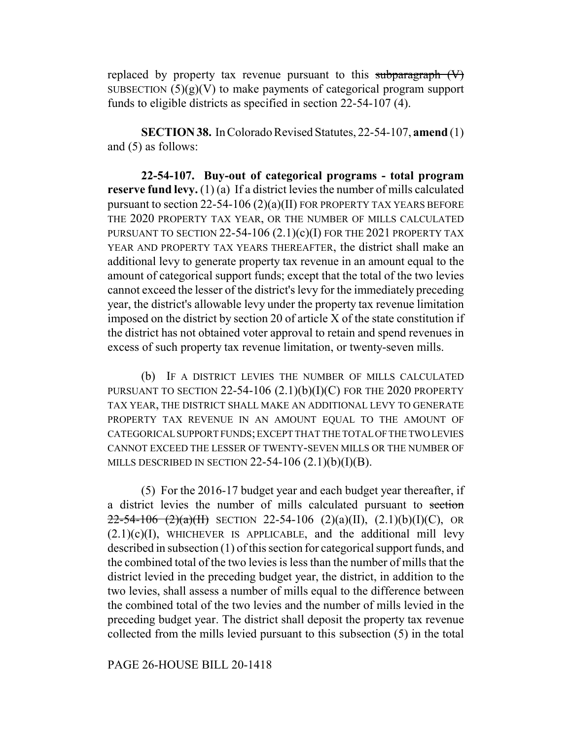replaced by property tax revenue pursuant to this subparagraph  $(V)$ SUBSECTION  $(5)(g)(V)$  to make payments of categorical program support funds to eligible districts as specified in section 22-54-107 (4).

**SECTION 38.** In Colorado Revised Statutes, 22-54-107, **amend** (1) and (5) as follows:

**22-54-107. Buy-out of categorical programs - total program reserve fund levy.** (1) (a) If a district levies the number of mills calculated pursuant to section 22-54-106 (2)(a)(II) FOR PROPERTY TAX YEARS BEFORE THE 2020 PROPERTY TAX YEAR, OR THE NUMBER OF MILLS CALCULATED PURSUANT TO SECTION  $22-54-106$   $(2.1)(c)(I)$  for the 2021 property tax YEAR AND PROPERTY TAX YEARS THEREAFTER, the district shall make an additional levy to generate property tax revenue in an amount equal to the amount of categorical support funds; except that the total of the two levies cannot exceed the lesser of the district's levy for the immediately preceding year, the district's allowable levy under the property tax revenue limitation imposed on the district by section 20 of article X of the state constitution if the district has not obtained voter approval to retain and spend revenues in excess of such property tax revenue limitation, or twenty-seven mills.

(b) IF A DISTRICT LEVIES THE NUMBER OF MILLS CALCULATED PURSUANT TO SECTION 22-54-106 (2.1)(b)(I)(C) FOR THE 2020 PROPERTY TAX YEAR, THE DISTRICT SHALL MAKE AN ADDITIONAL LEVY TO GENERATE PROPERTY TAX REVENUE IN AN AMOUNT EQUAL TO THE AMOUNT OF CATEGORICAL SUPPORT FUNDS; EXCEPT THAT THE TOTAL OF THE TWO LEVIES CANNOT EXCEED THE LESSER OF TWENTY-SEVEN MILLS OR THE NUMBER OF MILLS DESCRIBED IN SECTION  $22-54-106$   $(2.1)(b)(I)(B)$ .

(5) For the 2016-17 budget year and each budget year thereafter, if a district levies the number of mills calculated pursuant to section  $22-54-106$   $(2)(a)(H)$  SECTION 22-54-106  $(2)(a)(H)$ ,  $(2.1)(b)(I)(C)$ , OR  $(2.1)(c)(I)$ , WHICHEVER IS APPLICABLE, and the additional mill levy described in subsection (1) of this section for categorical support funds, and the combined total of the two levies is less than the number of mills that the district levied in the preceding budget year, the district, in addition to the two levies, shall assess a number of mills equal to the difference between the combined total of the two levies and the number of mills levied in the preceding budget year. The district shall deposit the property tax revenue collected from the mills levied pursuant to this subsection (5) in the total

## PAGE 26-HOUSE BILL 20-1418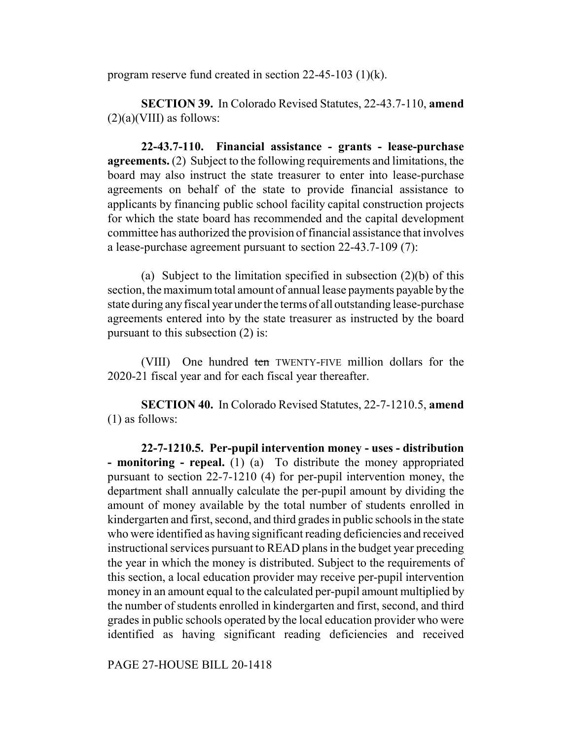program reserve fund created in section 22-45-103 (1)(k).

**SECTION 39.** In Colorado Revised Statutes, 22-43.7-110, **amend**  $(2)(a)(VIII)$  as follows:

**22-43.7-110. Financial assistance - grants - lease-purchase agreements.** (2) Subject to the following requirements and limitations, the board may also instruct the state treasurer to enter into lease-purchase agreements on behalf of the state to provide financial assistance to applicants by financing public school facility capital construction projects for which the state board has recommended and the capital development committee has authorized the provision of financial assistance that involves a lease-purchase agreement pursuant to section 22-43.7-109 (7):

(a) Subject to the limitation specified in subsection (2)(b) of this section, the maximum total amount of annual lease payments payable by the state during any fiscal year under the terms of all outstanding lease-purchase agreements entered into by the state treasurer as instructed by the board pursuant to this subsection (2) is:

(VIII) One hundred ten TWENTY-FIVE million dollars for the 2020-21 fiscal year and for each fiscal year thereafter.

**SECTION 40.** In Colorado Revised Statutes, 22-7-1210.5, **amend** (1) as follows:

**22-7-1210.5. Per-pupil intervention money - uses - distribution - monitoring - repeal.** (1) (a) To distribute the money appropriated pursuant to section 22-7-1210 (4) for per-pupil intervention money, the department shall annually calculate the per-pupil amount by dividing the amount of money available by the total number of students enrolled in kindergarten and first, second, and third grades in public schools in the state who were identified as having significant reading deficiencies and received instructional services pursuant to READ plans in the budget year preceding the year in which the money is distributed. Subject to the requirements of this section, a local education provider may receive per-pupil intervention money in an amount equal to the calculated per-pupil amount multiplied by the number of students enrolled in kindergarten and first, second, and third grades in public schools operated by the local education provider who were identified as having significant reading deficiencies and received

PAGE 27-HOUSE BILL 20-1418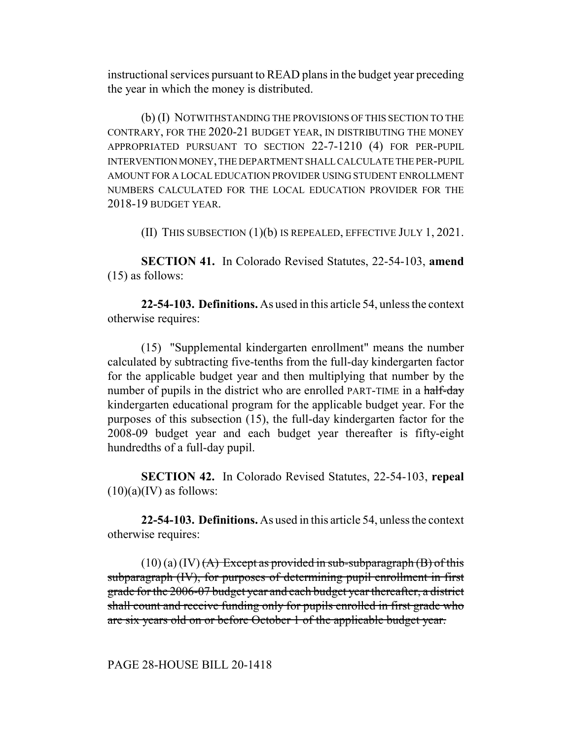instructional services pursuant to READ plans in the budget year preceding the year in which the money is distributed.

(b) (I) NOTWITHSTANDING THE PROVISIONS OF THIS SECTION TO THE CONTRARY, FOR THE 2020-21 BUDGET YEAR, IN DISTRIBUTING THE MONEY APPROPRIATED PURSUANT TO SECTION 22-7-1210 (4) FOR PER-PUPIL INTERVENTION MONEY, THE DEPARTMENT SHALL CALCULATE THE PER-PUPIL AMOUNT FOR A LOCAL EDUCATION PROVIDER USING STUDENT ENROLLMENT NUMBERS CALCULATED FOR THE LOCAL EDUCATION PROVIDER FOR THE 2018-19 BUDGET YEAR.

(II) THIS SUBSECTION (1)(b) IS REPEALED, EFFECTIVE JULY 1, 2021.

**SECTION 41.** In Colorado Revised Statutes, 22-54-103, **amend** (15) as follows:

**22-54-103. Definitions.** As used in this article 54, unless the context otherwise requires:

(15) "Supplemental kindergarten enrollment" means the number calculated by subtracting five-tenths from the full-day kindergarten factor for the applicable budget year and then multiplying that number by the number of pupils in the district who are enrolled PART-TIME in a half-day kindergarten educational program for the applicable budget year. For the purposes of this subsection (15), the full-day kindergarten factor for the 2008-09 budget year and each budget year thereafter is fifty-eight hundredths of a full-day pupil.

**SECTION 42.** In Colorado Revised Statutes, 22-54-103, **repeal**  $(10)(a)(IV)$  as follows:

**22-54-103. Definitions.** As used in this article 54, unless the context otherwise requires:

 $(10)(a)(IV)$   $(A)$  Except as provided in sub-subparagraph  $(B)$  of this subparagraph (IV), for purposes of determining pupil enrollment in first grade for the 2006-07 budget year and each budget year thereafter, a district shall count and receive funding only for pupils enrolled in first grade who are six years old on or before October 1 of the applicable budget year.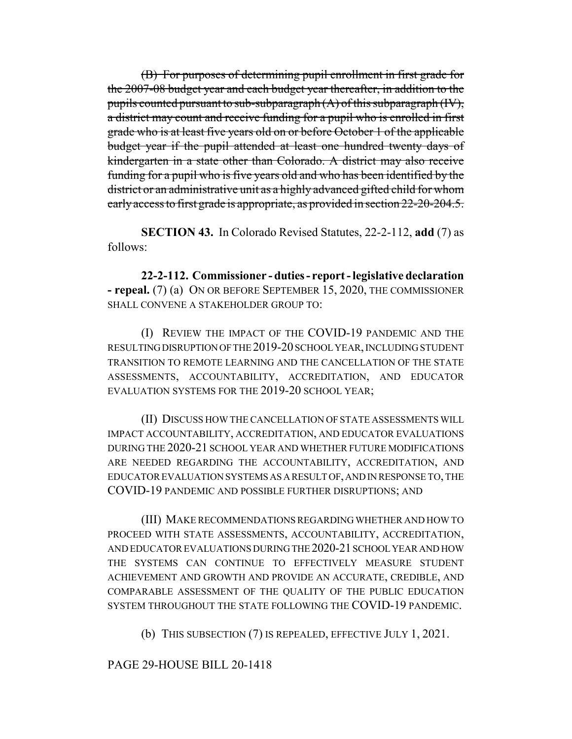(B) For purposes of determining pupil enrollment in first grade for the 2007-08 budget year and each budget year thereafter, in addition to the pupils counted pursuant to sub-subparagraph  $(A)$  of this subparagraph  $(W)$ , a district may count and receive funding for a pupil who is enrolled in first grade who is at least five years old on or before October 1 of the applicable budget year if the pupil attended at least one hundred twenty days of kindergarten in a state other than Colorado. A district may also receive funding for a pupil who is five years old and who has been identified by the district or an administrative unit as a highly advanced gifted child for whom early access to first grade is appropriate, as provided in section 22-20-204.5.

**SECTION 43.** In Colorado Revised Statutes, 22-2-112, **add** (7) as follows:

**22-2-112. Commissioner - duties - report - legislative declaration - repeal.** (7) (a) ON OR BEFORE SEPTEMBER 15, 2020, THE COMMISSIONER SHALL CONVENE A STAKEHOLDER GROUP TO:

(I) REVIEW THE IMPACT OF THE COVID-19 PANDEMIC AND THE RESULTING DISRUPTION OF THE 2019-20 SCHOOL YEAR, INCLUDING STUDENT TRANSITION TO REMOTE LEARNING AND THE CANCELLATION OF THE STATE ASSESSMENTS, ACCOUNTABILITY, ACCREDITATION, AND EDUCATOR EVALUATION SYSTEMS FOR THE 2019-20 SCHOOL YEAR;

(II) DISCUSS HOW THE CANCELLATION OF STATE ASSESSMENTS WILL IMPACT ACCOUNTABILITY, ACCREDITATION, AND EDUCATOR EVALUATIONS DURING THE 2020-21 SCHOOL YEAR AND WHETHER FUTURE MODIFICATIONS ARE NEEDED REGARDING THE ACCOUNTABILITY, ACCREDITATION, AND EDUCATOR EVALUATION SYSTEMS AS A RESULT OF, AND IN RESPONSE TO, THE COVID-19 PANDEMIC AND POSSIBLE FURTHER DISRUPTIONS; AND

(III) MAKE RECOMMENDATIONS REGARDING WHETHER AND HOW TO PROCEED WITH STATE ASSESSMENTS, ACCOUNTABILITY, ACCREDITATION, AND EDUCATOR EVALUATIONS DURING THE 2020-21 SCHOOL YEAR AND HOW THE SYSTEMS CAN CONTINUE TO EFFECTIVELY MEASURE STUDENT ACHIEVEMENT AND GROWTH AND PROVIDE AN ACCURATE, CREDIBLE, AND COMPARABLE ASSESSMENT OF THE QUALITY OF THE PUBLIC EDUCATION SYSTEM THROUGHOUT THE STATE FOLLOWING THE COVID-19 PANDEMIC.

(b) THIS SUBSECTION (7) IS REPEALED, EFFECTIVE JULY 1, 2021.

# PAGE 29-HOUSE BILL 20-1418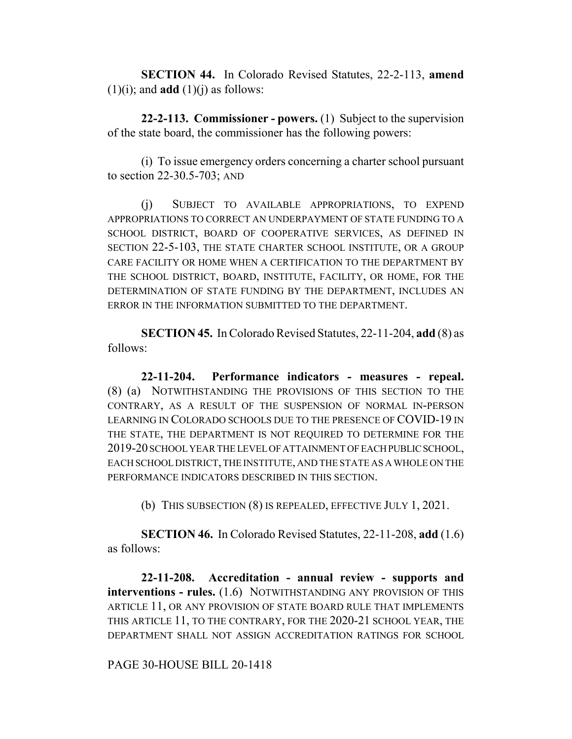**SECTION 44.** In Colorado Revised Statutes, 22-2-113, **amend**  $(1)(i)$ ; and **add**  $(1)(i)$  as follows:

**22-2-113. Commissioner - powers.** (1) Subject to the supervision of the state board, the commissioner has the following powers:

(i) To issue emergency orders concerning a charter school pursuant to section 22-30.5-703; AND

(j) SUBJECT TO AVAILABLE APPROPRIATIONS, TO EXPEND APPROPRIATIONS TO CORRECT AN UNDERPAYMENT OF STATE FUNDING TO A SCHOOL DISTRICT, BOARD OF COOPERATIVE SERVICES, AS DEFINED IN SECTION 22-5-103, THE STATE CHARTER SCHOOL INSTITUTE, OR A GROUP CARE FACILITY OR HOME WHEN A CERTIFICATION TO THE DEPARTMENT BY THE SCHOOL DISTRICT, BOARD, INSTITUTE, FACILITY, OR HOME, FOR THE DETERMINATION OF STATE FUNDING BY THE DEPARTMENT, INCLUDES AN ERROR IN THE INFORMATION SUBMITTED TO THE DEPARTMENT.

**SECTION 45.** In Colorado Revised Statutes, 22-11-204, **add** (8) as follows:

**22-11-204. Performance indicators - measures - repeal.** (8) (a) NOTWITHSTANDING THE PROVISIONS OF THIS SECTION TO THE CONTRARY, AS A RESULT OF THE SUSPENSION OF NORMAL IN-PERSON LEARNING IN COLORADO SCHOOLS DUE TO THE PRESENCE OF COVID-19 IN THE STATE, THE DEPARTMENT IS NOT REQUIRED TO DETERMINE FOR THE 2019-20 SCHOOL YEAR THE LEVEL OF ATTAINMENT OF EACH PUBLIC SCHOOL, EACH SCHOOL DISTRICT, THE INSTITUTE, AND THE STATE AS A WHOLE ON THE PERFORMANCE INDICATORS DESCRIBED IN THIS SECTION.

(b) THIS SUBSECTION (8) IS REPEALED, EFFECTIVE JULY 1, 2021.

**SECTION 46.** In Colorado Revised Statutes, 22-11-208, **add** (1.6) as follows:

**22-11-208. Accreditation - annual review - supports and interventions - rules.** (1.6) NOTWITHSTANDING ANY PROVISION OF THIS ARTICLE 11, OR ANY PROVISION OF STATE BOARD RULE THAT IMPLEMENTS THIS ARTICLE 11, TO THE CONTRARY, FOR THE 2020-21 SCHOOL YEAR, THE DEPARTMENT SHALL NOT ASSIGN ACCREDITATION RATINGS FOR SCHOOL

## PAGE 30-HOUSE BILL 20-1418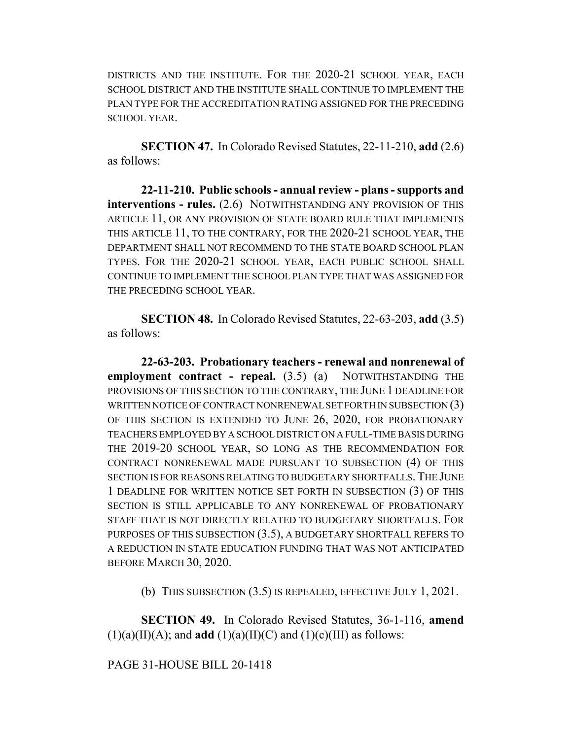DISTRICTS AND THE INSTITUTE. FOR THE 2020-21 SCHOOL YEAR, EACH SCHOOL DISTRICT AND THE INSTITUTE SHALL CONTINUE TO IMPLEMENT THE PLAN TYPE FOR THE ACCREDITATION RATING ASSIGNED FOR THE PRECEDING SCHOOL YEAR.

**SECTION 47.** In Colorado Revised Statutes, 22-11-210, **add** (2.6) as follows:

**22-11-210. Public schools - annual review - plans - supports and interventions - rules.** (2.6) NOTWITHSTANDING ANY PROVISION OF THIS ARTICLE 11, OR ANY PROVISION OF STATE BOARD RULE THAT IMPLEMENTS THIS ARTICLE 11, TO THE CONTRARY, FOR THE 2020-21 SCHOOL YEAR, THE DEPARTMENT SHALL NOT RECOMMEND TO THE STATE BOARD SCHOOL PLAN TYPES. FOR THE 2020-21 SCHOOL YEAR, EACH PUBLIC SCHOOL SHALL CONTINUE TO IMPLEMENT THE SCHOOL PLAN TYPE THAT WAS ASSIGNED FOR THE PRECEDING SCHOOL YEAR.

**SECTION 48.** In Colorado Revised Statutes, 22-63-203, **add** (3.5) as follows:

**22-63-203. Probationary teachers - renewal and nonrenewal of employment contract - repeal.** (3.5) (a) NOTWITHSTANDING THE PROVISIONS OF THIS SECTION TO THE CONTRARY, THE JUNE 1 DEADLINE FOR WRITTEN NOTICE OF CONTRACT NONRENEWAL SET FORTH IN SUBSECTION (3) OF THIS SECTION IS EXTENDED TO JUNE 26, 2020, FOR PROBATIONARY TEACHERS EMPLOYED BY A SCHOOL DISTRICT ON A FULL-TIME BASIS DURING THE 2019-20 SCHOOL YEAR, SO LONG AS THE RECOMMENDATION FOR CONTRACT NONRENEWAL MADE PURSUANT TO SUBSECTION (4) OF THIS SECTION IS FOR REASONS RELATING TO BUDGETARY SHORTFALLS. THE JUNE 1 DEADLINE FOR WRITTEN NOTICE SET FORTH IN SUBSECTION (3) OF THIS SECTION IS STILL APPLICABLE TO ANY NONRENEWAL OF PROBATIONARY STAFF THAT IS NOT DIRECTLY RELATED TO BUDGETARY SHORTFALLS. FOR PURPOSES OF THIS SUBSECTION (3.5), A BUDGETARY SHORTFALL REFERS TO A REDUCTION IN STATE EDUCATION FUNDING THAT WAS NOT ANTICIPATED BEFORE MARCH 30, 2020.

(b) THIS SUBSECTION (3.5) IS REPEALED, EFFECTIVE JULY 1, 2021.

**SECTION 49.** In Colorado Revised Statutes, 36-1-116, **amend**  $(1)(a)(II)(A)$ ; and **add**  $(1)(a)(II)(C)$  and  $(1)(c)(III)$  as follows:

PAGE 31-HOUSE BILL 20-1418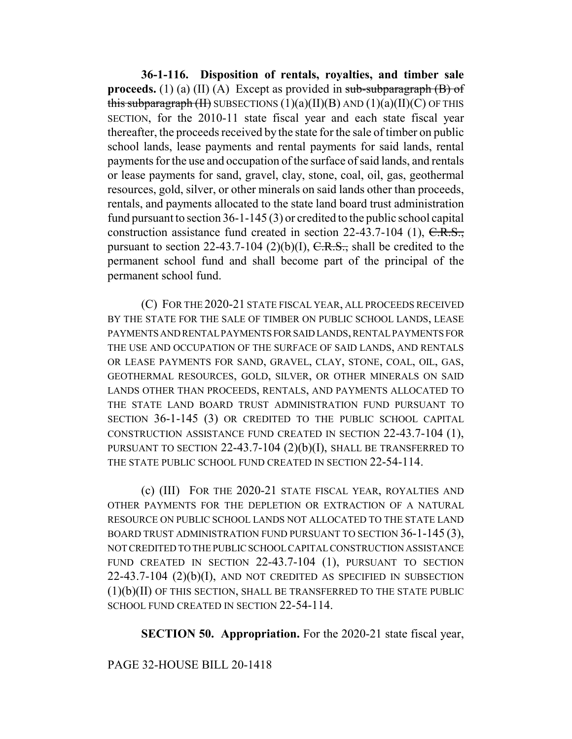**36-1-116. Disposition of rentals, royalties, and timber sale proceeds.** (1) (a) (II) (A) Except as provided in  $sub-subparagnph(B)$  of this subparagraph  $(H)$  SUBSECTIONS  $(1)(a)(II)(B)$  AND  $(1)(a)(II)(C)$  OF THIS SECTION, for the 2010-11 state fiscal year and each state fiscal year thereafter, the proceeds received by the state for the sale of timber on public school lands, lease payments and rental payments for said lands, rental payments for the use and occupation of the surface of said lands, and rentals or lease payments for sand, gravel, clay, stone, coal, oil, gas, geothermal resources, gold, silver, or other minerals on said lands other than proceeds, rentals, and payments allocated to the state land board trust administration fund pursuant to section 36-1-145 (3) or credited to the public school capital construction assistance fund created in section 22-43.7-104 (1), C.R.S., pursuant to section 22-43.7-104 (2)(b)(I),  $C.R.S.,$  shall be credited to the permanent school fund and shall become part of the principal of the permanent school fund.

(C) FOR THE 2020-21 STATE FISCAL YEAR, ALL PROCEEDS RECEIVED BY THE STATE FOR THE SALE OF TIMBER ON PUBLIC SCHOOL LANDS, LEASE PAYMENTS AND RENTAL PAYMENTS FOR SAID LANDS, RENTAL PAYMENTS FOR THE USE AND OCCUPATION OF THE SURFACE OF SAID LANDS, AND RENTALS OR LEASE PAYMENTS FOR SAND, GRAVEL, CLAY, STONE, COAL, OIL, GAS, GEOTHERMAL RESOURCES, GOLD, SILVER, OR OTHER MINERALS ON SAID LANDS OTHER THAN PROCEEDS, RENTALS, AND PAYMENTS ALLOCATED TO THE STATE LAND BOARD TRUST ADMINISTRATION FUND PURSUANT TO SECTION 36-1-145 (3) OR CREDITED TO THE PUBLIC SCHOOL CAPITAL CONSTRUCTION ASSISTANCE FUND CREATED IN SECTION 22-43.7-104 (1), PURSUANT TO SECTION 22-43.7-104 (2)(b)(I), SHALL BE TRANSFERRED TO THE STATE PUBLIC SCHOOL FUND CREATED IN SECTION 22-54-114.

(c) (III) FOR THE 2020-21 STATE FISCAL YEAR, ROYALTIES AND OTHER PAYMENTS FOR THE DEPLETION OR EXTRACTION OF A NATURAL RESOURCE ON PUBLIC SCHOOL LANDS NOT ALLOCATED TO THE STATE LAND BOARD TRUST ADMINISTRATION FUND PURSUANT TO SECTION 36-1-145 (3), NOT CREDITED TO THE PUBLIC SCHOOL CAPITAL CONSTRUCTION ASSISTANCE FUND CREATED IN SECTION 22-43.7-104 (1), PURSUANT TO SECTION  $22-43.7-104$   $(2)(b)(I)$ , and not credited as specified in subsection (1)(b)(II) OF THIS SECTION, SHALL BE TRANSFERRED TO THE STATE PUBLIC SCHOOL FUND CREATED IN SECTION 22-54-114.

**SECTION 50. Appropriation.** For the 2020-21 state fiscal year,

# PAGE 32-HOUSE BILL 20-1418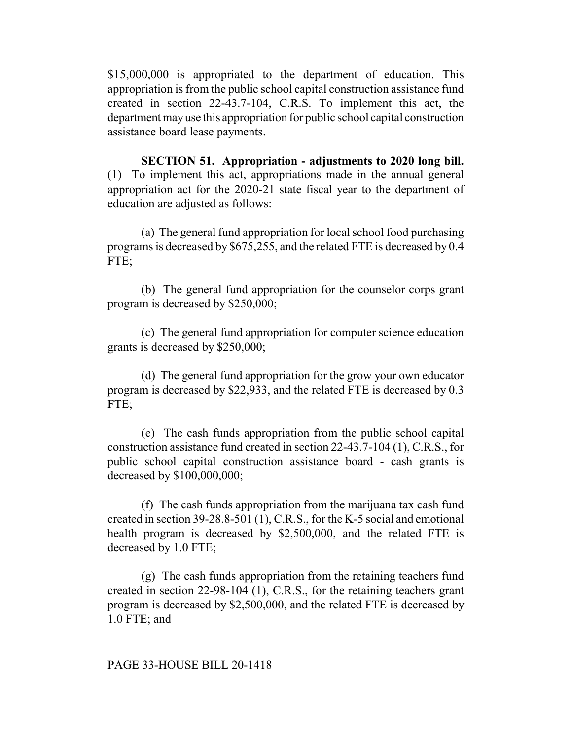\$15,000,000 is appropriated to the department of education. This appropriation is from the public school capital construction assistance fund created in section 22-43.7-104, C.R.S. To implement this act, the department may use this appropriation for public school capital construction assistance board lease payments.

**SECTION 51. Appropriation - adjustments to 2020 long bill.** (1) To implement this act, appropriations made in the annual general appropriation act for the 2020-21 state fiscal year to the department of education are adjusted as follows:

(a) The general fund appropriation for local school food purchasing programs is decreased by \$675,255, and the related FTE is decreased by 0.4 FTE:

(b) The general fund appropriation for the counselor corps grant program is decreased by \$250,000;

(c) The general fund appropriation for computer science education grants is decreased by \$250,000;

(d) The general fund appropriation for the grow your own educator program is decreased by \$22,933, and the related FTE is decreased by 0.3 FTE:

(e) The cash funds appropriation from the public school capital construction assistance fund created in section 22-43.7-104 (1), C.R.S., for public school capital construction assistance board - cash grants is decreased by \$100,000,000;

(f) The cash funds appropriation from the marijuana tax cash fund created in section 39-28.8-501 (1), C.R.S., for the K-5 social and emotional health program is decreased by \$2,500,000, and the related FTE is decreased by 1.0 FTE;

(g) The cash funds appropriation from the retaining teachers fund created in section 22-98-104 (1), C.R.S., for the retaining teachers grant program is decreased by \$2,500,000, and the related FTE is decreased by 1.0 FTE; and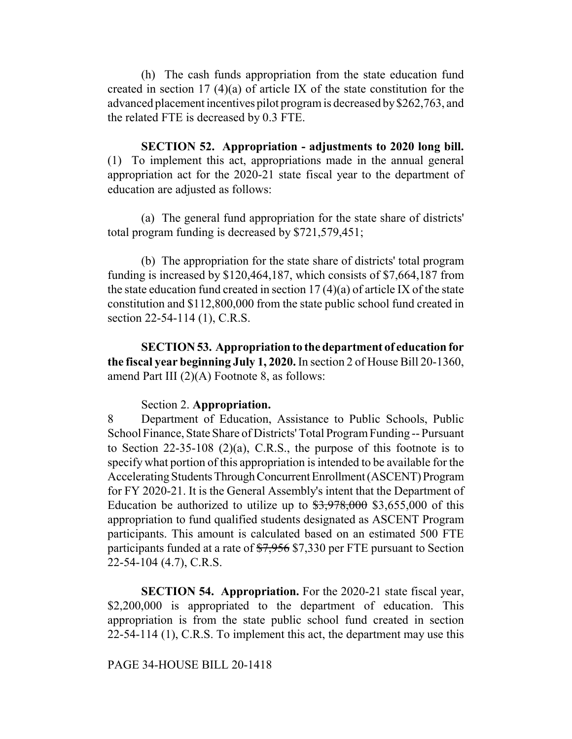(h) The cash funds appropriation from the state education fund created in section 17 (4)(a) of article IX of the state constitution for the advanced placement incentives pilot program is decreased by \$262,763, and the related FTE is decreased by 0.3 FTE.

**SECTION 52. Appropriation - adjustments to 2020 long bill.** (1) To implement this act, appropriations made in the annual general appropriation act for the 2020-21 state fiscal year to the department of education are adjusted as follows:

(a) The general fund appropriation for the state share of districts' total program funding is decreased by \$721,579,451;

(b) The appropriation for the state share of districts' total program funding is increased by \$120,464,187, which consists of \$7,664,187 from the state education fund created in section 17 (4)(a) of article IX of the state constitution and \$112,800,000 from the state public school fund created in section 22-54-114 (1), C.R.S.

**SECTION 53. Appropriation to the department of education for the fiscal year beginning July 1, 2020.** In section 2 of House Bill 20-1360, amend Part III (2)(A) Footnote 8, as follows:

### Section 2. **Appropriation.**

8 Department of Education, Assistance to Public Schools, Public School Finance, State Share of Districts' Total Program Funding -- Pursuant to Section 22-35-108 (2)(a), C.R.S., the purpose of this footnote is to specify what portion of this appropriation is intended to be available for the Accelerating Students Through Concurrent Enrollment (ASCENT) Program for FY 2020-21. It is the General Assembly's intent that the Department of Education be authorized to utilize up to  $\frac{1}{3}$ ,  $\frac{1}{978}$ , 000 \$3,655,000 of this appropriation to fund qualified students designated as ASCENT Program participants. This amount is calculated based on an estimated 500 FTE participants funded at a rate of \$7,956 \$7,330 per FTE pursuant to Section 22-54-104 (4.7), C.R.S.

**SECTION 54. Appropriation.** For the 2020-21 state fiscal year, \$2,200,000 is appropriated to the department of education. This appropriation is from the state public school fund created in section 22-54-114 (1), C.R.S. To implement this act, the department may use this

#### PAGE 34-HOUSE BILL 20-1418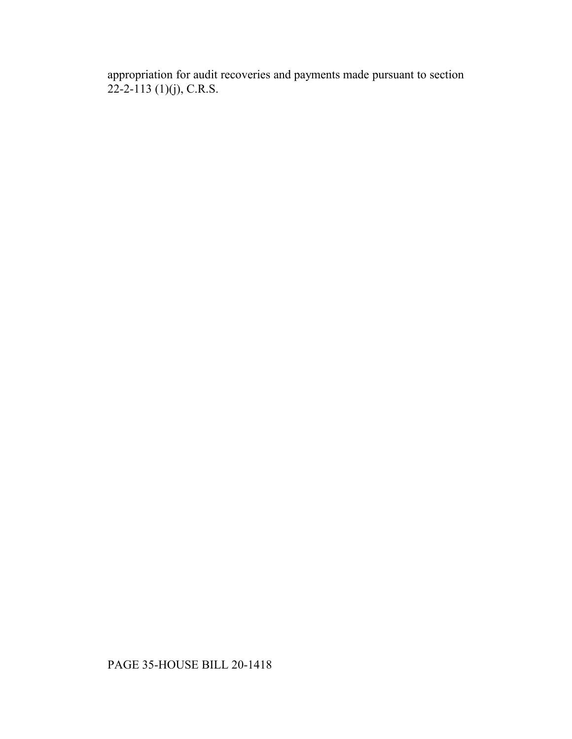appropriation for audit recoveries and payments made pursuant to section  $22 - 2 - 113$  (1)(j), C.R.S.

# PAGE 35-HOUSE BILL 20-1418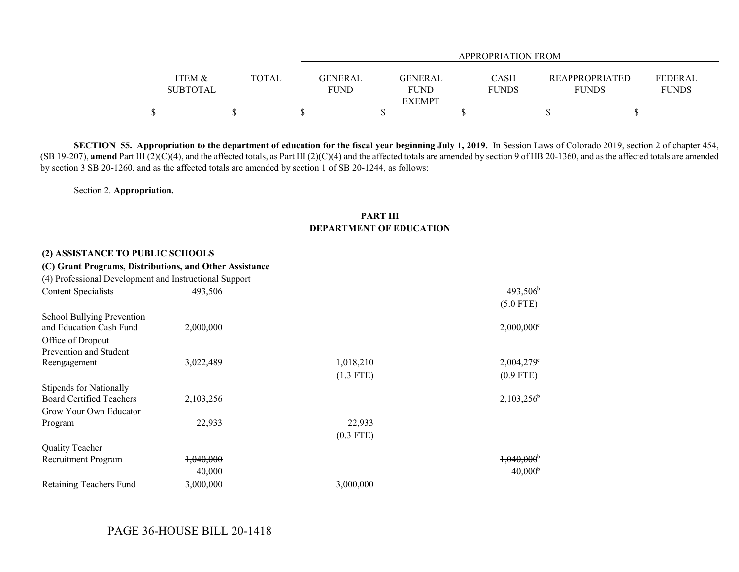|                 |              |                            |              | APPROPRIATION FROM |                                  |  |
|-----------------|--------------|----------------------------|--------------|--------------------|----------------------------------|--|
|                 |              |                            |              |                    |                                  |  |
| ITEM &          | <b>TOTAL</b> | GENERAL<br>GENERAL         | <b>CASH</b>  |                    | FEDERAL<br><b>REAPPROPRIATED</b> |  |
| <b>SUBTOTAL</b> |              | <b>FUND</b><br><b>FUND</b> | <b>FUNDS</b> |                    | <b>FUNDS</b><br>FUNDS            |  |
|                 |              | <b>EXEMPT</b>              |              |                    |                                  |  |
|                 |              |                            |              |                    |                                  |  |

**SECTION 55. Appropriation to the department of education for the fiscal year beginning July 1, 2019.** In Session Laws of Colorado 2019, section 2 of chapter 454, (SB 19-207), amend Part III (2)(C)(4), and the affected totals, as Part III (2)(C)(4) and the affected totals are amended by section 9 of HB 20-1360, and as the affected totals are amended by section 3 SB 20-1260, and as the affected totals are amended by section 1 of SB 20-1244, as follows:

Section 2. **Appropriation.**

#### **PART III DEPARTMENT OF EDUCATION**

#### **(2) ASSISTANCE TO PUBLIC SCHOOLS**

#### **(C) Grant Programs, Distributions, and Other Assistance**

| (4) Professional Development and Instructional Support |           |             |                          |
|--------------------------------------------------------|-----------|-------------|--------------------------|
| <b>Content Specialists</b>                             | 493,506   |             | $493,506^b$              |
|                                                        |           |             | $(5.0$ FTE)              |
| School Bullying Prevention                             |           |             |                          |
| and Education Cash Fund                                | 2,000,000 |             | $2,000,000$ <sup>e</sup> |
| Office of Dropout                                      |           |             |                          |
| Prevention and Student                                 |           |             |                          |
| Reengagement                                           | 3,022,489 | 1,018,210   | $2,004,279$ <sup>e</sup> |
|                                                        |           | $(1.3$ FTE) | $(0.9$ FTE)              |
| <b>Stipends for Nationally</b>                         |           |             |                          |
| <b>Board Certified Teachers</b>                        | 2,103,256 |             | $2,103,256^{\text{b}}$   |
| Grow Your Own Educator                                 |           |             |                          |
| Program                                                | 22,933    | 22,933      |                          |
|                                                        |           | $(0.3$ FTE) |                          |
| <b>Quality Teacher</b>                                 |           |             |                          |
| Recruitment Program                                    | 1,040,000 |             | $1,040,000$ <sup>b</sup> |
|                                                        | 40,000    |             | 40,000 <sup>b</sup>      |
| Retaining Teachers Fund                                | 3,000,000 | 3,000,000   |                          |

# PAGE 36-HOUSE BILL 20-1418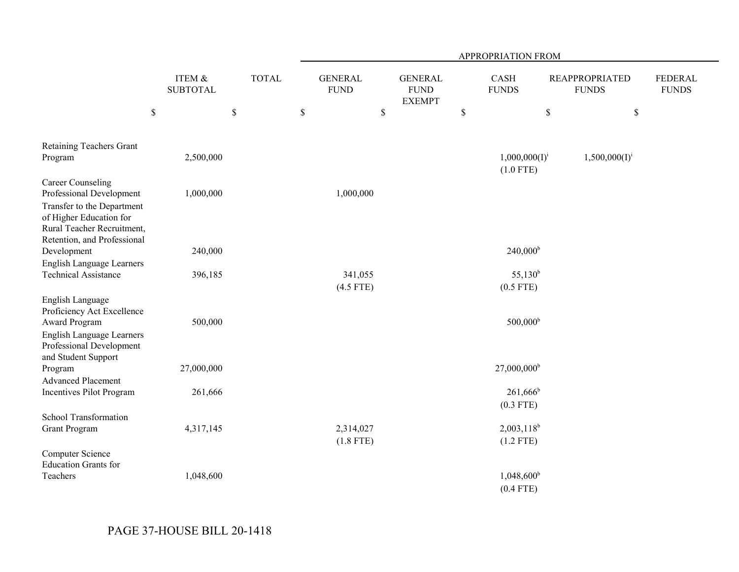|                                                                                                                                 |                           |              | APPROPRIATION FROM            |                                                |                                   |                                       |                                |  |  |  |
|---------------------------------------------------------------------------------------------------------------------------------|---------------------------|--------------|-------------------------------|------------------------------------------------|-----------------------------------|---------------------------------------|--------------------------------|--|--|--|
|                                                                                                                                 | ITEM &<br><b>SUBTOTAL</b> | <b>TOTAL</b> | <b>GENERAL</b><br><b>FUND</b> | <b>GENERAL</b><br><b>FUND</b><br><b>EXEMPT</b> | <b>CASH</b><br><b>FUNDS</b>       | <b>REAPPROPRIATED</b><br><b>FUNDS</b> | <b>FEDERAL</b><br><b>FUNDS</b> |  |  |  |
|                                                                                                                                 | $\$$                      | $\mathbb S$  | $\$$                          | $\$$                                           | $\mathbb S$                       | \$                                    | $\mathbb S$                    |  |  |  |
| <b>Retaining Teachers Grant</b>                                                                                                 |                           |              |                               |                                                |                                   |                                       |                                |  |  |  |
| Program                                                                                                                         | 2,500,000                 |              |                               |                                                | $1,000,000(I)^{i}$<br>$(1.0$ FTE) | $1,500,000(I)^{i}$                    |                                |  |  |  |
| <b>Career Counseling</b><br>Professional Development                                                                            | 1,000,000                 |              | 1,000,000                     |                                                |                                   |                                       |                                |  |  |  |
| Transfer to the Department<br>of Higher Education for<br>Rural Teacher Recruitment,                                             |                           |              |                               |                                                |                                   |                                       |                                |  |  |  |
| Retention, and Professional<br>Development                                                                                      | 240,000                   |              |                               |                                                | $240,000^{\rm b}$                 |                                       |                                |  |  |  |
| English Language Learners<br><b>Technical Assistance</b>                                                                        | 396,185                   |              | 341,055<br>$(4.5$ FTE)        |                                                | $55,130^b$<br>$(0.5$ FTE)         |                                       |                                |  |  |  |
| English Language<br>Proficiency Act Excellence<br><b>Award Program</b><br>English Language Learners<br>Professional Development | 500,000                   |              |                               |                                                | $500,000^{\rm b}$                 |                                       |                                |  |  |  |
| and Student Support<br>Program                                                                                                  | 27,000,000                |              |                               |                                                | $27,000,000$ <sup>b</sup>         |                                       |                                |  |  |  |
| <b>Advanced Placement</b><br><b>Incentives Pilot Program</b>                                                                    | 261,666                   |              |                               |                                                | $261,666^b$<br>$(0.3$ FTE)        |                                       |                                |  |  |  |
| School Transformation<br><b>Grant Program</b>                                                                                   | 4,317,145                 |              | 2,314,027<br>$(1.8$ FTE)      |                                                | $2,003,118^b$<br>$(1.2$ FTE)      |                                       |                                |  |  |  |
| <b>Computer Science</b><br><b>Education Grants for</b><br>Teachers                                                              | 1,048,600                 |              |                               |                                                | $1,048,600^b$                     |                                       |                                |  |  |  |
|                                                                                                                                 |                           |              |                               |                                                | $(0.4$ FTE)                       |                                       |                                |  |  |  |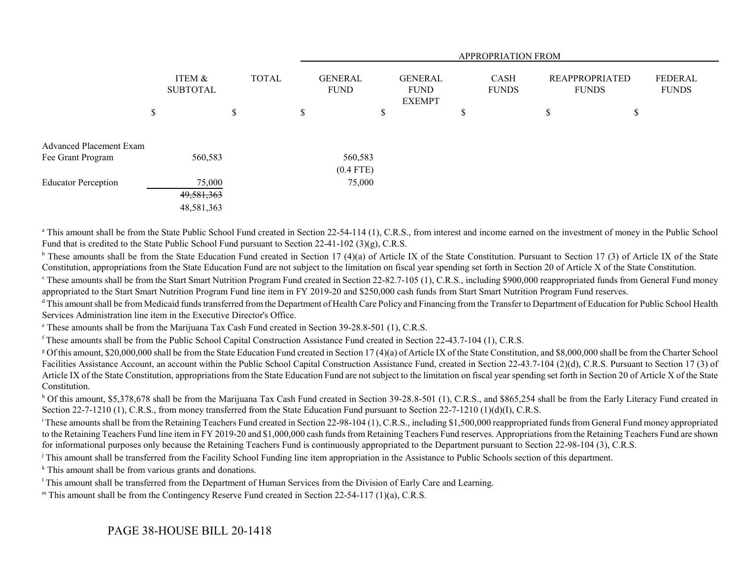|                                |    |                           |    |  | APPROPRIATION FROM |             |                               |  |                                                |  |                             |                                       |  |                         |
|--------------------------------|----|---------------------------|----|--|--------------------|-------------|-------------------------------|--|------------------------------------------------|--|-----------------------------|---------------------------------------|--|-------------------------|
|                                |    | ITEM &<br><b>SUBTOTAL</b> |    |  | <b>TOTAL</b>       |             | <b>GENERAL</b><br><b>FUND</b> |  | <b>GENERAL</b><br><b>FUND</b><br><b>EXEMPT</b> |  | <b>CASH</b><br><b>FUNDS</b> | <b>REAPPROPRIATED</b><br><b>FUNDS</b> |  | FEDERAL<br><b>FUNDS</b> |
|                                | \$ |                           | \$ |  | \$                 |             | D                             |  | \$                                             |  | \$                          | \$                                    |  |                         |
| <b>Advanced Placement Exam</b> |    |                           |    |  |                    |             |                               |  |                                                |  |                             |                                       |  |                         |
| Fee Grant Program              |    | 560,583                   |    |  |                    | 560,583     |                               |  |                                                |  |                             |                                       |  |                         |
|                                |    |                           |    |  |                    | $(0.4$ FTE) |                               |  |                                                |  |                             |                                       |  |                         |
| <b>Educator Perception</b>     |    | 75,000                    |    |  |                    | 75,000      |                               |  |                                                |  |                             |                                       |  |                         |
|                                |    | 49,581,363                |    |  |                    |             |                               |  |                                                |  |                             |                                       |  |                         |
|                                |    | 48,581,363                |    |  |                    |             |                               |  |                                                |  |                             |                                       |  |                         |

<sup>a</sup> This amount shall be from the State Public School Fund created in Section 22-54-114 (1), C.R.S., from interest and income earned on the investment of money in the Public School Fund that is credited to the State Public School Fund pursuant to Section 22-41-102 (3)(g), C.R.S.

 $\rm b$  These amounts shall be from the State Education Fund created in Section 17 (4)(a) of Article IX of the State Constitution. Pursuant to Section 17 (3) of Article IX of the State Constitution, appropriations from the State Education Fund are not subject to the limitation on fiscal year spending set forth in Section 20 of Article X of the State Constitution.

<sup>c</sup> These amounts shall be from the Start Smart Nutrition Program Fund created in Section 22-82.7-105 (1), C.R.S., including \$900,000 reappropriated funds from General Fund money appropriated to the Start Smart Nutrition Program Fund line item in FY 2019-20 and \$250,000 cash funds from Start Smart Nutrition Program Fund reserves.

<sup>d</sup> This amount shall be from Medicaid funds transferred from the Department of Health Care Policy and Financing from the Transfer to Department of Education for Public School Health Services Administration line item in the Executive Director's Office.

e These amounts shall be from the Marijuana Tax Cash Fund created in Section 39-28.8-501 (1), C.R.S.

f These amounts shall be from the Public School Capital Construction Assistance Fund created in Section 22-43.7-104 (1), C.R.S.

<sup>g</sup> Of this amount, \$20,000,000 shall be from the State Education Fund created in Section 17 (4)(a) of Article IX of the State Constitution, and \$8,000,000 shall be from the Charter School Facilities Assistance Account, an account within the Public School Capital Construction Assistance Fund, created in Section 22-43.7-104 (2)(d), C.R.S. Pursuant to Section 17 (3) of Article IX of the State Constitution, appropriations from the State Education Fund are not subject to the limitation on fiscal year spending set forth in Section 20 of Article X of the State Constitution.

<sup>h</sup> Of this amount, \$5,378,678 shall be from the Marijuana Tax Cash Fund created in Section 39-28.8-501 (1), C.R.S., and \$865,254 shall be from the Early Literacy Fund created in Section 22-7-1210 (1), C.R.S., from money transferred from the State Education Fund pursuant to Section 22-7-1210 (1)(d)(I), C.R.S.

<sup>i</sup> These amounts shall be from the Retaining Teachers Fund created in Section 22-98-104 (1), C.R.S., including \$1,500,000 reappropriated funds from General Fund money appropriated to the Retaining Teachers Fund line item in FY 2019-20 and \$1,000,000 cash funds from Retaining Teachers Fund reserves. Appropriations from the Retaining Teachers Fund are shown for informational purposes only because the Retaining Teachers Fund is continuously appropriated to the Department pursuant to Section 22-98-104 (3), C.R.S.

<sup>j</sup> This amount shall be transferred from the Facility School Funding line item appropriation in the Assistance to Public Schools section of this department.

k This amount shall be from various grants and donations.

<sup>1</sup> This amount shall be transferred from the Department of Human Services from the Division of Early Care and Learning.

m This amount shall be from the Contingency Reserve Fund created in Section 22-54-117 (1)(a), C.R.S.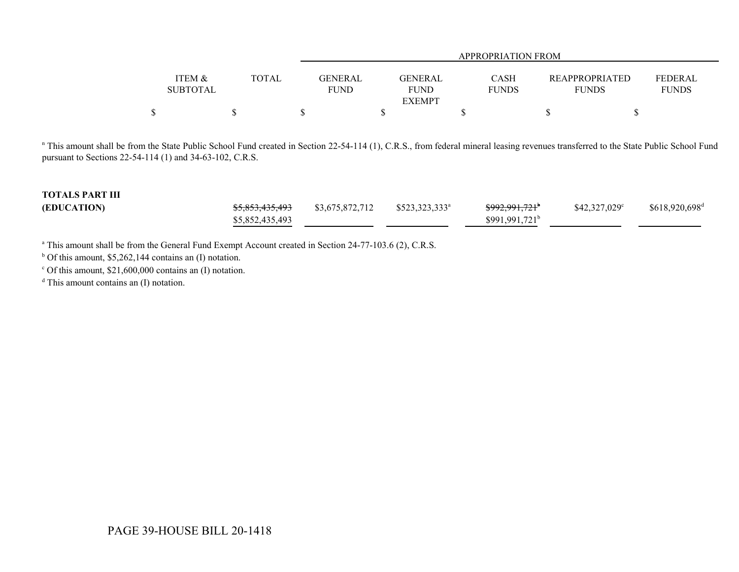|                   |        |                | APPROPRIATION FROM |              |                       |              |  |  |  |  |
|-------------------|--------|----------------|--------------------|--------------|-----------------------|--------------|--|--|--|--|
|                   |        |                |                    |              |                       |              |  |  |  |  |
| <b>ITEM &amp;</b> | TOTAL. | <b>GENERAL</b> | <b>GENERAL</b>     | <b>CASH</b>  | <b>REAPPROPRIATED</b> | FEDERAL      |  |  |  |  |
| <b>SUBTOTAL</b>   |        | <b>FUND</b>    | FUND               | <b>FUNDS</b> | <b>FUNDS</b>          | <b>FUNDS</b> |  |  |  |  |
|                   |        |                | <b>EXEMPT</b>      |              |                       |              |  |  |  |  |
| \$                |        |                |                    |              |                       |              |  |  |  |  |

<sup>n</sup> This amount shall be from the State Public School Fund created in Section 22-54-114 (1), C.R.S., from federal mineral leasing revenues transferred to the State Public School Fund pursuant to Sections 22-54-114 (1) and 34-63-102, C.R.S.

| <b>TOTALS PART III</b> |                            |                 |                  |                            |                       |                            |
|------------------------|----------------------------|-----------------|------------------|----------------------------|-----------------------|----------------------------|
| (EDUCATION)            | <del>\$5,853,435,493</del> | \$3,675,872,712 | $$523,323,333^a$ | <del>\$992,991,721</del> * | $$42,327,029^{\circ}$ | \$618,920,698 <sup>d</sup> |
|                        | \$5,852,435,493            |                 |                  | $$991,991,721^b$           |                       |                            |

<sup>a</sup> This amount shall be from the General Fund Exempt Account created in Section 24-77-103.6 (2), C.R.S.

 $<sup>b</sup>$  Of this amount, \$5,262,144 contains an (I) notation.</sup>

 $\degree$  Of this amount, \$21,600,000 contains an (I) notation.

<sup>d</sup> This amount contains an (I) notation.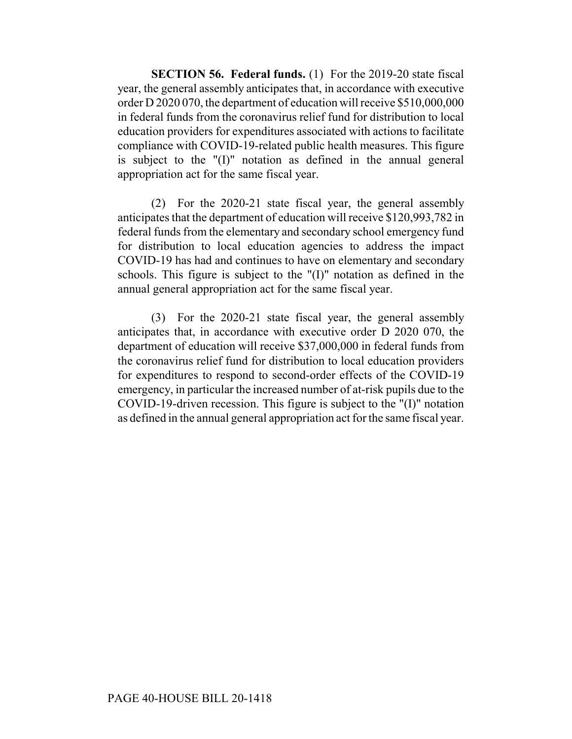**SECTION 56. Federal funds.** (1) For the 2019-20 state fiscal year, the general assembly anticipates that, in accordance with executive order D 2020 070, the department of education will receive \$510,000,000 in federal funds from the coronavirus relief fund for distribution to local education providers for expenditures associated with actions to facilitate compliance with COVID-19-related public health measures. This figure is subject to the "(I)" notation as defined in the annual general appropriation act for the same fiscal year.

(2) For the 2020-21 state fiscal year, the general assembly anticipates that the department of education will receive \$120,993,782 in federal funds from the elementary and secondary school emergency fund for distribution to local education agencies to address the impact COVID-19 has had and continues to have on elementary and secondary schools. This figure is subject to the "(I)" notation as defined in the annual general appropriation act for the same fiscal year.

(3) For the 2020-21 state fiscal year, the general assembly anticipates that, in accordance with executive order D 2020 070, the department of education will receive \$37,000,000 in federal funds from the coronavirus relief fund for distribution to local education providers for expenditures to respond to second-order effects of the COVID-19 emergency, in particular the increased number of at-risk pupils due to the COVID-19-driven recession. This figure is subject to the "(I)" notation as defined in the annual general appropriation act for the same fiscal year.